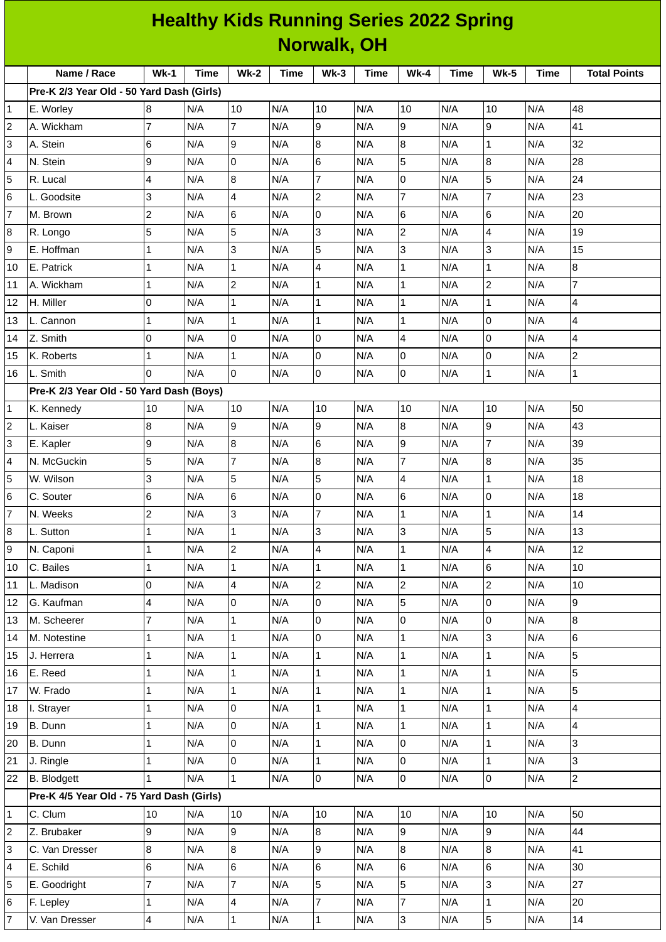| <b>Norwalk, OH</b><br>Name / Race<br>$Wk-1$<br>Time<br><b>Wk-2</b><br><b>Time</b><br>$Wk-3$<br><b>Time</b><br><b>Wk-4</b><br><b>Time</b><br><b>Wk-5</b><br><b>Time</b><br><b>Total Points</b><br>Pre-K 2/3 Year Old - 50 Yard Dash (Girls)<br>N/A<br>10<br>10<br>N/A<br>10<br>10<br>N/A<br>N/A<br>48<br>8<br>N/A<br>1<br>E. Worley<br>7<br>9<br>9<br>41<br>N/A<br>$\overline{7}$<br>9<br>N/A<br>2<br>A. Wickham<br>N/A<br>N/A<br>N/A<br>6<br>9<br>8<br>8<br>32<br>3<br>$\mathbf{1}$<br>A. Stein<br>N/A<br>N/A<br>N/A<br>N/A<br>N/A<br>6<br>5<br>8<br>9<br>$\overline{0}$<br>28<br>4<br>N. Stein<br>N/A<br>N/A<br>N/A<br>N/A<br>N/A<br>$\overline{7}$<br>5<br>0<br>24<br>5<br>4<br>N/A<br>8<br>N/A<br>N/A<br>N/A<br>N/A<br>R. Lucal<br>$\overline{7}$<br>$\overline{7}$<br>$\overline{c}$<br>23<br>3<br>$\overline{4}$<br>N/A<br>N/A<br>N/A<br>6<br>L. Goodsite<br>N/A<br>N/A<br>$\overline{c}$<br>6<br>7<br>6<br>0<br>$6\phantom{.}6$<br>M. Brown<br>N/A<br>N/A<br>N/A<br>N/A<br>N/A<br>20<br>3<br>$\overline{c}$<br>5<br>5<br>4<br>19<br>N/A<br>N/A<br>N/A<br>N/A<br>8<br>N/A<br>R. Longo<br>3<br>5<br>3<br>3<br>9<br>E. Hoffman<br>N/A<br>15<br>1<br>N/A<br>N/A<br>N/A<br>N/A<br>4<br>$\mathbf 1$<br>8<br>1<br>N/A<br>$\mathbf{1}$<br>N/A<br>$\mathbf{1}$<br>10<br>E. Patrick<br>N/A<br>N/A<br>N/A<br>$\overline{c}$<br>$\overline{7}$<br>$\mathbf 1$<br>$\overline{2}$<br>$\mathbf{1}$<br>$\mathbf{1}$<br>A. Wickham<br>N/A<br>N/A<br>N/A<br>N/A<br>N/A<br>11<br>$\mathbf{1}$<br>0<br>N/A<br>$\mathbf{1}$<br>N/A<br>$\mathbf{1}$<br>N/A<br>$\mathbf{1}$<br>$\overline{4}$<br>12<br>H. Miller<br>N/A<br>N/A<br>$\Omega$<br>$\overline{4}$<br>1<br>N/A<br>$\mathbf{1}$<br>$\mathbf{1}$<br>13<br>N/A<br>N/A<br>$\mathbf{1}$<br>N/A<br>N/A<br>L. Cannon<br>0<br>0<br>l0<br>0<br>4<br>$\overline{4}$<br>Z. Smith<br>N/A<br>N/A<br>N/A<br>N/A<br>N/A<br>14<br>$\mathbf 2$<br>$\mathbf 1$<br>0<br>0<br>0<br>N/A<br>$\vert$ 1<br>N/A<br>N/A<br>N/A<br>N/A<br>15<br>K. Roberts<br>$\overline{0}$<br>$\Omega$<br>$\mathsf{O}$<br>$\mathsf{O}$<br>$\mathbf{1}$<br>$\mathbf{1}$<br>N/A<br>N/A<br>16<br>L. Smith<br>N/A<br>N/A<br>N/A<br>Pre-K 2/3 Year Old - 50 Yard Dash (Boys)<br>N/A<br>N/A<br>10<br>N/A<br>10<br>N/A<br>10<br>50<br>10<br>10<br>N/A<br>1<br>K. Kennedy<br>8<br>9<br>8<br>9<br>9<br>2<br>43<br>L. Kaiser<br>N/A<br>N/A<br>N/A<br>N/A<br>N/A<br>$\overline{7}$<br>6<br>$\mathsf g$<br>9<br>8<br>39<br>3<br>N/A<br>N/A<br>N/A<br>N/A<br>N/A<br>E. Kapler<br>5<br>$\overline{7}$<br>$\overline{7}$<br>8<br>8<br>N/A<br>N/A<br>N/A<br>35<br>4<br>N. McGuckin<br>N/A<br>N/A<br>5<br>5<br>18<br>5<br>3<br>4<br>W. Wilson<br>N/A<br>N/A<br>N/A<br>N/A<br>1<br>N/A<br>6<br>0<br>6<br>$\Omega$<br>6<br>18<br>6<br>N/A<br>N/A<br>N/A<br>N/A<br>N/A<br>C. Souter<br>$\overline{7}$<br>$\overline{c}$<br>N/A<br>$\overline{3}$<br>N/A<br>$\overline{7}$<br>N/A<br>N/A<br>N/A<br>14<br>$\mathbf{1}$<br>$\mathbf 1$<br>N. Weeks<br>3<br>5<br>8<br>N/A<br>3<br>13<br>L. Sutton<br>$\mathbf 1$<br>N/A<br>$\mathbf{1}$<br>N/A<br>N/A<br>N/A<br>$\overline{2}$<br>4<br>12<br>9<br>N. Caponi<br>$\mathbf 1$<br>N/A<br>N/A<br>$\overline{4}$<br>N/A<br>$\mathbf{1}$<br>N/A<br>N/A<br>$\mathbf{1}$<br>$\overline{1}$<br>$\mathbf{1}$<br>6<br>10<br>C. Bailes<br>$\mathbf 1$<br>N/A<br>N/A<br>N/A<br>N/A<br>10<br>N/A<br>$\overline{2}$<br>$\overline{c}$<br>$\overline{c}$<br>0<br>$\overline{\mathbf{4}}$<br>10<br>L. Madison<br>N/A<br>N/A<br>N/A<br>N/A<br>11<br>N/A<br>5<br>4<br>$\overline{0}$<br>0<br>9<br>N/A<br>N/A<br>$\overline{0}$<br>N/A<br>G. Kaufman<br>N/A<br>N/A<br>12<br>$\overline{7}$<br>$\overline{0}$<br>$\mathsf{O}$<br>0<br>$\bf{8}$<br>N/A<br>M. Scheerer<br>N/A<br>$\mathbf{1}$<br>N/A<br>N/A<br>N/A<br>13<br>3<br>$\mathbf 1$<br>$\mathbf{1}$<br>$\overline{0}$<br>$\mathbf{1}$<br>6<br>M. Notestine<br>N/A<br>N/A<br>14<br>N/A<br>N/A<br>N/A<br>$\overline{1}$<br>5<br>$\mathbf 1$<br>$\overline{1}$<br>$\mathbf{1}$<br>$\mathbf{1}$<br>N/A<br>N/A<br>N/A<br>J. Herrera<br>N/A<br>N/A<br>15<br>5<br>$\mathbf{1}$<br>$\mathbf{1}$<br>N/A<br>$\mathbf{1}$<br>N/A<br>$\mathbf{1}$<br>$\mathbf{1}$<br>E. Reed<br>N/A<br>N/A<br>N/A<br>16<br>5<br>$\mathbf 1$<br>17<br>W. Frado<br>$\mathbf 1$<br>$\mathbf{1}$<br>N/A<br>$\mathbf 1$<br>$\mathbf 1$<br>N/A<br>N/A<br>N/A<br>N/A<br>$\mathbf 1$<br>$\overline{0}$<br>$\mathbf{1}$<br>$\mathbf{1}$<br>$\overline{4}$<br>$\mathbf 1$<br>N/A<br>N/A<br>N/A<br>18<br>I. Strayer<br>N/A<br>N/A<br>$\overline{0}$<br>B. Dunn<br>N/A<br>$\mathbf 1$<br>$\mathbf{1}$<br>$\mathbf{1}$<br>4<br>19<br>1<br>N/A<br>N/A<br>N/A<br>N/A<br>$\overline{0}$<br>$\mathbf{1}$<br>$\mathsf{O}$<br>$\mathbf{1}$<br>3<br>N/A<br>$\mathbf 1$<br>20<br>B. Dunn<br>N/A<br>N/A<br>N/A<br>N/A<br>$\mathsf 0$<br>$\mathsf{O}$<br>3<br>$\mathbf{1}$<br>N/A<br>$\mathbf{1}$<br>$\mathbf{1}$<br>21<br>J. Ringle<br>N/A<br>N/A<br>N/A<br>N/A<br>$\overline{0}$<br>$\overline{2}$<br>$\mathbf{1}$<br>$\mathbf{1}$<br>$\overline{0}$<br>$\overline{0}$<br>22<br>B. Blodgett<br>N/A<br>N/A<br>N/A<br>N/A<br>N/A<br>Pre-K 4/5 Year Old - 75 Yard Dash (Girls)<br>N/A<br>C. Clum<br>10<br>N/A<br>10<br>N/A<br>10<br>10<br>N/A<br>10<br>N/A<br>50<br>1<br>9<br>$\overline{9}$<br>9<br>9<br>44<br>2<br>N/A<br>N/A<br>8<br>Z. Brubaker<br>N/A<br>N/A<br>N/A<br>$\bf{8}$<br>8<br>8<br>9<br>8<br>41<br>3<br>C. Van Dresser<br>N/A<br>N/A<br>N/A<br>N/A<br>N/A<br>$6\phantom{.}$<br>6<br>6<br>6<br>6<br>30<br>E. Schild<br>N/A<br>N/A<br>N/A<br>N/A<br>4<br>N/A<br>$\overline{7}$<br>$\overline{7}$<br>5<br>3<br>5<br>5<br>27<br>E. Goodright<br>N/A<br>N/A<br>N/A<br>N/A<br>N/A<br>$\overline{7}$<br>$\overline{7}$<br>$\overline{\mathbf{4}}$<br>$\mathbf 1$<br>20<br>6<br>1<br>N/A<br>F. Lepley<br>N/A<br>N/A<br>N/A<br>N/A<br>5<br>4<br>$\overline{3}$<br>$\mathbf{1}$<br>$\mathbf{1}$<br>14<br>7<br>N/A<br>N/A<br>N/A<br>N/A<br>N/A<br>V. Van Dresser |  |  |  |  |  |  |  |  | <b>Healthy Kids Running Series 2022 Spring</b> |  |  |  |  |
|---------------------------------------------------------------------------------------------------------------------------------------------------------------------------------------------------------------------------------------------------------------------------------------------------------------------------------------------------------------------------------------------------------------------------------------------------------------------------------------------------------------------------------------------------------------------------------------------------------------------------------------------------------------------------------------------------------------------------------------------------------------------------------------------------------------------------------------------------------------------------------------------------------------------------------------------------------------------------------------------------------------------------------------------------------------------------------------------------------------------------------------------------------------------------------------------------------------------------------------------------------------------------------------------------------------------------------------------------------------------------------------------------------------------------------------------------------------------------------------------------------------------------------------------------------------------------------------------------------------------------------------------------------------------------------------------------------------------------------------------------------------------------------------------------------------------------------------------------------------------------------------------------------------------------------------------------------------------------------------------------------------------------------------------------------------------------------------------------------------------------------------------------------------------------------------------------------------------------------------------------------------------------------------------------------------------------------------------------------------------------------------------------------------------------------------------------------------------------------------------------------------------------------------------------------------------------------------------------------------------------------------------------------------------------------------------------------------------------------------------------------------------------------------------------------------------------------------------------------------------------------------------------------------------------------------------------------------------------------------------------------------------------------------------------------------------------------------------------------------------------------------------------------------------------------------------------------------------------------------------------------------------------------------------------------------------------------------------------------------------------------------------------------------------------------------------------------------------------------------------------------------------------------------------------------------------------------------------------------------------------------------------------------------------------------------------------------------------------------------------------------------------------------------------------------------------------------------------------------------------------------------------------------------------------------------------------------------------------------------------------------------------------------------------------------------------------------------------------------------------------------------------------------------------------------------------------------------------------------------------------------------------------------------------------------------------------------------------------------------------------------------------------------------------------------------------------------------------------------------------------------------------------------------------------------------------------------------------------------------------------------------------------------------------------------------------------------------------------------------------------------------------------------------------------------------------------------------------------------------------------------------------------------------------------------------------------------------------------------------------------------------------------------------------------------------------------------------------------------------------------------------------------------------------------------------------------------------------------------------------------------------------------------------------------------------------------------------------------------------------------------------------------------------------------------------------------------------------------------------------------------------------------------------------------------------------------------------------------------------------------------------------------------------------------------------------------------------------------------------------------------------------------------------------------------------------------------------------------------------------------|--|--|--|--|--|--|--|--|------------------------------------------------|--|--|--|--|
|                                                                                                                                                                                                                                                                                                                                                                                                                                                                                                                                                                                                                                                                                                                                                                                                                                                                                                                                                                                                                                                                                                                                                                                                                                                                                                                                                                                                                                                                                                                                                                                                                                                                                                                                                                                                                                                                                                                                                                                                                                                                                                                                                                                                                                                                                                                                                                                                                                                                                                                                                                                                                                                                                                                                                                                                                                                                                                                                                                                                                                                                                                                                                                                                                                                                                                                                                                                                                                                                                                                                                                                                                                                                                                                                                                                                                                                                                                                                                                                                                                                                                                                                                                                                                                                                                                                                                                                                                                                                                                                                                                                                                                                                                                                                                                                                                                                                                                                                                                                                                                                                                                                                                                                                                                                                                                                                                                                                                                                                                                                                                                                                                                                                                                                                                                                                                                                                           |  |  |  |  |  |  |  |  |                                                |  |  |  |  |
|                                                                                                                                                                                                                                                                                                                                                                                                                                                                                                                                                                                                                                                                                                                                                                                                                                                                                                                                                                                                                                                                                                                                                                                                                                                                                                                                                                                                                                                                                                                                                                                                                                                                                                                                                                                                                                                                                                                                                                                                                                                                                                                                                                                                                                                                                                                                                                                                                                                                                                                                                                                                                                                                                                                                                                                                                                                                                                                                                                                                                                                                                                                                                                                                                                                                                                                                                                                                                                                                                                                                                                                                                                                                                                                                                                                                                                                                                                                                                                                                                                                                                                                                                                                                                                                                                                                                                                                                                                                                                                                                                                                                                                                                                                                                                                                                                                                                                                                                                                                                                                                                                                                                                                                                                                                                                                                                                                                                                                                                                                                                                                                                                                                                                                                                                                                                                                                                           |  |  |  |  |  |  |  |  |                                                |  |  |  |  |
|                                                                                                                                                                                                                                                                                                                                                                                                                                                                                                                                                                                                                                                                                                                                                                                                                                                                                                                                                                                                                                                                                                                                                                                                                                                                                                                                                                                                                                                                                                                                                                                                                                                                                                                                                                                                                                                                                                                                                                                                                                                                                                                                                                                                                                                                                                                                                                                                                                                                                                                                                                                                                                                                                                                                                                                                                                                                                                                                                                                                                                                                                                                                                                                                                                                                                                                                                                                                                                                                                                                                                                                                                                                                                                                                                                                                                                                                                                                                                                                                                                                                                                                                                                                                                                                                                                                                                                                                                                                                                                                                                                                                                                                                                                                                                                                                                                                                                                                                                                                                                                                                                                                                                                                                                                                                                                                                                                                                                                                                                                                                                                                                                                                                                                                                                                                                                                                                           |  |  |  |  |  |  |  |  |                                                |  |  |  |  |
|                                                                                                                                                                                                                                                                                                                                                                                                                                                                                                                                                                                                                                                                                                                                                                                                                                                                                                                                                                                                                                                                                                                                                                                                                                                                                                                                                                                                                                                                                                                                                                                                                                                                                                                                                                                                                                                                                                                                                                                                                                                                                                                                                                                                                                                                                                                                                                                                                                                                                                                                                                                                                                                                                                                                                                                                                                                                                                                                                                                                                                                                                                                                                                                                                                                                                                                                                                                                                                                                                                                                                                                                                                                                                                                                                                                                                                                                                                                                                                                                                                                                                                                                                                                                                                                                                                                                                                                                                                                                                                                                                                                                                                                                                                                                                                                                                                                                                                                                                                                                                                                                                                                                                                                                                                                                                                                                                                                                                                                                                                                                                                                                                                                                                                                                                                                                                                                                           |  |  |  |  |  |  |  |  |                                                |  |  |  |  |
|                                                                                                                                                                                                                                                                                                                                                                                                                                                                                                                                                                                                                                                                                                                                                                                                                                                                                                                                                                                                                                                                                                                                                                                                                                                                                                                                                                                                                                                                                                                                                                                                                                                                                                                                                                                                                                                                                                                                                                                                                                                                                                                                                                                                                                                                                                                                                                                                                                                                                                                                                                                                                                                                                                                                                                                                                                                                                                                                                                                                                                                                                                                                                                                                                                                                                                                                                                                                                                                                                                                                                                                                                                                                                                                                                                                                                                                                                                                                                                                                                                                                                                                                                                                                                                                                                                                                                                                                                                                                                                                                                                                                                                                                                                                                                                                                                                                                                                                                                                                                                                                                                                                                                                                                                                                                                                                                                                                                                                                                                                                                                                                                                                                                                                                                                                                                                                                                           |  |  |  |  |  |  |  |  |                                                |  |  |  |  |
|                                                                                                                                                                                                                                                                                                                                                                                                                                                                                                                                                                                                                                                                                                                                                                                                                                                                                                                                                                                                                                                                                                                                                                                                                                                                                                                                                                                                                                                                                                                                                                                                                                                                                                                                                                                                                                                                                                                                                                                                                                                                                                                                                                                                                                                                                                                                                                                                                                                                                                                                                                                                                                                                                                                                                                                                                                                                                                                                                                                                                                                                                                                                                                                                                                                                                                                                                                                                                                                                                                                                                                                                                                                                                                                                                                                                                                                                                                                                                                                                                                                                                                                                                                                                                                                                                                                                                                                                                                                                                                                                                                                                                                                                                                                                                                                                                                                                                                                                                                                                                                                                                                                                                                                                                                                                                                                                                                                                                                                                                                                                                                                                                                                                                                                                                                                                                                                                           |  |  |  |  |  |  |  |  |                                                |  |  |  |  |
|                                                                                                                                                                                                                                                                                                                                                                                                                                                                                                                                                                                                                                                                                                                                                                                                                                                                                                                                                                                                                                                                                                                                                                                                                                                                                                                                                                                                                                                                                                                                                                                                                                                                                                                                                                                                                                                                                                                                                                                                                                                                                                                                                                                                                                                                                                                                                                                                                                                                                                                                                                                                                                                                                                                                                                                                                                                                                                                                                                                                                                                                                                                                                                                                                                                                                                                                                                                                                                                                                                                                                                                                                                                                                                                                                                                                                                                                                                                                                                                                                                                                                                                                                                                                                                                                                                                                                                                                                                                                                                                                                                                                                                                                                                                                                                                                                                                                                                                                                                                                                                                                                                                                                                                                                                                                                                                                                                                                                                                                                                                                                                                                                                                                                                                                                                                                                                                                           |  |  |  |  |  |  |  |  |                                                |  |  |  |  |
|                                                                                                                                                                                                                                                                                                                                                                                                                                                                                                                                                                                                                                                                                                                                                                                                                                                                                                                                                                                                                                                                                                                                                                                                                                                                                                                                                                                                                                                                                                                                                                                                                                                                                                                                                                                                                                                                                                                                                                                                                                                                                                                                                                                                                                                                                                                                                                                                                                                                                                                                                                                                                                                                                                                                                                                                                                                                                                                                                                                                                                                                                                                                                                                                                                                                                                                                                                                                                                                                                                                                                                                                                                                                                                                                                                                                                                                                                                                                                                                                                                                                                                                                                                                                                                                                                                                                                                                                                                                                                                                                                                                                                                                                                                                                                                                                                                                                                                                                                                                                                                                                                                                                                                                                                                                                                                                                                                                                                                                                                                                                                                                                                                                                                                                                                                                                                                                                           |  |  |  |  |  |  |  |  |                                                |  |  |  |  |
|                                                                                                                                                                                                                                                                                                                                                                                                                                                                                                                                                                                                                                                                                                                                                                                                                                                                                                                                                                                                                                                                                                                                                                                                                                                                                                                                                                                                                                                                                                                                                                                                                                                                                                                                                                                                                                                                                                                                                                                                                                                                                                                                                                                                                                                                                                                                                                                                                                                                                                                                                                                                                                                                                                                                                                                                                                                                                                                                                                                                                                                                                                                                                                                                                                                                                                                                                                                                                                                                                                                                                                                                                                                                                                                                                                                                                                                                                                                                                                                                                                                                                                                                                                                                                                                                                                                                                                                                                                                                                                                                                                                                                                                                                                                                                                                                                                                                                                                                                                                                                                                                                                                                                                                                                                                                                                                                                                                                                                                                                                                                                                                                                                                                                                                                                                                                                                                                           |  |  |  |  |  |  |  |  |                                                |  |  |  |  |
|                                                                                                                                                                                                                                                                                                                                                                                                                                                                                                                                                                                                                                                                                                                                                                                                                                                                                                                                                                                                                                                                                                                                                                                                                                                                                                                                                                                                                                                                                                                                                                                                                                                                                                                                                                                                                                                                                                                                                                                                                                                                                                                                                                                                                                                                                                                                                                                                                                                                                                                                                                                                                                                                                                                                                                                                                                                                                                                                                                                                                                                                                                                                                                                                                                                                                                                                                                                                                                                                                                                                                                                                                                                                                                                                                                                                                                                                                                                                                                                                                                                                                                                                                                                                                                                                                                                                                                                                                                                                                                                                                                                                                                                                                                                                                                                                                                                                                                                                                                                                                                                                                                                                                                                                                                                                                                                                                                                                                                                                                                                                                                                                                                                                                                                                                                                                                                                                           |  |  |  |  |  |  |  |  |                                                |  |  |  |  |
|                                                                                                                                                                                                                                                                                                                                                                                                                                                                                                                                                                                                                                                                                                                                                                                                                                                                                                                                                                                                                                                                                                                                                                                                                                                                                                                                                                                                                                                                                                                                                                                                                                                                                                                                                                                                                                                                                                                                                                                                                                                                                                                                                                                                                                                                                                                                                                                                                                                                                                                                                                                                                                                                                                                                                                                                                                                                                                                                                                                                                                                                                                                                                                                                                                                                                                                                                                                                                                                                                                                                                                                                                                                                                                                                                                                                                                                                                                                                                                                                                                                                                                                                                                                                                                                                                                                                                                                                                                                                                                                                                                                                                                                                                                                                                                                                                                                                                                                                                                                                                                                                                                                                                                                                                                                                                                                                                                                                                                                                                                                                                                                                                                                                                                                                                                                                                                                                           |  |  |  |  |  |  |  |  |                                                |  |  |  |  |
|                                                                                                                                                                                                                                                                                                                                                                                                                                                                                                                                                                                                                                                                                                                                                                                                                                                                                                                                                                                                                                                                                                                                                                                                                                                                                                                                                                                                                                                                                                                                                                                                                                                                                                                                                                                                                                                                                                                                                                                                                                                                                                                                                                                                                                                                                                                                                                                                                                                                                                                                                                                                                                                                                                                                                                                                                                                                                                                                                                                                                                                                                                                                                                                                                                                                                                                                                                                                                                                                                                                                                                                                                                                                                                                                                                                                                                                                                                                                                                                                                                                                                                                                                                                                                                                                                                                                                                                                                                                                                                                                                                                                                                                                                                                                                                                                                                                                                                                                                                                                                                                                                                                                                                                                                                                                                                                                                                                                                                                                                                                                                                                                                                                                                                                                                                                                                                                                           |  |  |  |  |  |  |  |  |                                                |  |  |  |  |
|                                                                                                                                                                                                                                                                                                                                                                                                                                                                                                                                                                                                                                                                                                                                                                                                                                                                                                                                                                                                                                                                                                                                                                                                                                                                                                                                                                                                                                                                                                                                                                                                                                                                                                                                                                                                                                                                                                                                                                                                                                                                                                                                                                                                                                                                                                                                                                                                                                                                                                                                                                                                                                                                                                                                                                                                                                                                                                                                                                                                                                                                                                                                                                                                                                                                                                                                                                                                                                                                                                                                                                                                                                                                                                                                                                                                                                                                                                                                                                                                                                                                                                                                                                                                                                                                                                                                                                                                                                                                                                                                                                                                                                                                                                                                                                                                                                                                                                                                                                                                                                                                                                                                                                                                                                                                                                                                                                                                                                                                                                                                                                                                                                                                                                                                                                                                                                                                           |  |  |  |  |  |  |  |  |                                                |  |  |  |  |
|                                                                                                                                                                                                                                                                                                                                                                                                                                                                                                                                                                                                                                                                                                                                                                                                                                                                                                                                                                                                                                                                                                                                                                                                                                                                                                                                                                                                                                                                                                                                                                                                                                                                                                                                                                                                                                                                                                                                                                                                                                                                                                                                                                                                                                                                                                                                                                                                                                                                                                                                                                                                                                                                                                                                                                                                                                                                                                                                                                                                                                                                                                                                                                                                                                                                                                                                                                                                                                                                                                                                                                                                                                                                                                                                                                                                                                                                                                                                                                                                                                                                                                                                                                                                                                                                                                                                                                                                                                                                                                                                                                                                                                                                                                                                                                                                                                                                                                                                                                                                                                                                                                                                                                                                                                                                                                                                                                                                                                                                                                                                                                                                                                                                                                                                                                                                                                                                           |  |  |  |  |  |  |  |  |                                                |  |  |  |  |
|                                                                                                                                                                                                                                                                                                                                                                                                                                                                                                                                                                                                                                                                                                                                                                                                                                                                                                                                                                                                                                                                                                                                                                                                                                                                                                                                                                                                                                                                                                                                                                                                                                                                                                                                                                                                                                                                                                                                                                                                                                                                                                                                                                                                                                                                                                                                                                                                                                                                                                                                                                                                                                                                                                                                                                                                                                                                                                                                                                                                                                                                                                                                                                                                                                                                                                                                                                                                                                                                                                                                                                                                                                                                                                                                                                                                                                                                                                                                                                                                                                                                                                                                                                                                                                                                                                                                                                                                                                                                                                                                                                                                                                                                                                                                                                                                                                                                                                                                                                                                                                                                                                                                                                                                                                                                                                                                                                                                                                                                                                                                                                                                                                                                                                                                                                                                                                                                           |  |  |  |  |  |  |  |  |                                                |  |  |  |  |
|                                                                                                                                                                                                                                                                                                                                                                                                                                                                                                                                                                                                                                                                                                                                                                                                                                                                                                                                                                                                                                                                                                                                                                                                                                                                                                                                                                                                                                                                                                                                                                                                                                                                                                                                                                                                                                                                                                                                                                                                                                                                                                                                                                                                                                                                                                                                                                                                                                                                                                                                                                                                                                                                                                                                                                                                                                                                                                                                                                                                                                                                                                                                                                                                                                                                                                                                                                                                                                                                                                                                                                                                                                                                                                                                                                                                                                                                                                                                                                                                                                                                                                                                                                                                                                                                                                                                                                                                                                                                                                                                                                                                                                                                                                                                                                                                                                                                                                                                                                                                                                                                                                                                                                                                                                                                                                                                                                                                                                                                                                                                                                                                                                                                                                                                                                                                                                                                           |  |  |  |  |  |  |  |  |                                                |  |  |  |  |
|                                                                                                                                                                                                                                                                                                                                                                                                                                                                                                                                                                                                                                                                                                                                                                                                                                                                                                                                                                                                                                                                                                                                                                                                                                                                                                                                                                                                                                                                                                                                                                                                                                                                                                                                                                                                                                                                                                                                                                                                                                                                                                                                                                                                                                                                                                                                                                                                                                                                                                                                                                                                                                                                                                                                                                                                                                                                                                                                                                                                                                                                                                                                                                                                                                                                                                                                                                                                                                                                                                                                                                                                                                                                                                                                                                                                                                                                                                                                                                                                                                                                                                                                                                                                                                                                                                                                                                                                                                                                                                                                                                                                                                                                                                                                                                                                                                                                                                                                                                                                                                                                                                                                                                                                                                                                                                                                                                                                                                                                                                                                                                                                                                                                                                                                                                                                                                                                           |  |  |  |  |  |  |  |  |                                                |  |  |  |  |
|                                                                                                                                                                                                                                                                                                                                                                                                                                                                                                                                                                                                                                                                                                                                                                                                                                                                                                                                                                                                                                                                                                                                                                                                                                                                                                                                                                                                                                                                                                                                                                                                                                                                                                                                                                                                                                                                                                                                                                                                                                                                                                                                                                                                                                                                                                                                                                                                                                                                                                                                                                                                                                                                                                                                                                                                                                                                                                                                                                                                                                                                                                                                                                                                                                                                                                                                                                                                                                                                                                                                                                                                                                                                                                                                                                                                                                                                                                                                                                                                                                                                                                                                                                                                                                                                                                                                                                                                                                                                                                                                                                                                                                                                                                                                                                                                                                                                                                                                                                                                                                                                                                                                                                                                                                                                                                                                                                                                                                                                                                                                                                                                                                                                                                                                                                                                                                                                           |  |  |  |  |  |  |  |  |                                                |  |  |  |  |
|                                                                                                                                                                                                                                                                                                                                                                                                                                                                                                                                                                                                                                                                                                                                                                                                                                                                                                                                                                                                                                                                                                                                                                                                                                                                                                                                                                                                                                                                                                                                                                                                                                                                                                                                                                                                                                                                                                                                                                                                                                                                                                                                                                                                                                                                                                                                                                                                                                                                                                                                                                                                                                                                                                                                                                                                                                                                                                                                                                                                                                                                                                                                                                                                                                                                                                                                                                                                                                                                                                                                                                                                                                                                                                                                                                                                                                                                                                                                                                                                                                                                                                                                                                                                                                                                                                                                                                                                                                                                                                                                                                                                                                                                                                                                                                                                                                                                                                                                                                                                                                                                                                                                                                                                                                                                                                                                                                                                                                                                                                                                                                                                                                                                                                                                                                                                                                                                           |  |  |  |  |  |  |  |  |                                                |  |  |  |  |
|                                                                                                                                                                                                                                                                                                                                                                                                                                                                                                                                                                                                                                                                                                                                                                                                                                                                                                                                                                                                                                                                                                                                                                                                                                                                                                                                                                                                                                                                                                                                                                                                                                                                                                                                                                                                                                                                                                                                                                                                                                                                                                                                                                                                                                                                                                                                                                                                                                                                                                                                                                                                                                                                                                                                                                                                                                                                                                                                                                                                                                                                                                                                                                                                                                                                                                                                                                                                                                                                                                                                                                                                                                                                                                                                                                                                                                                                                                                                                                                                                                                                                                                                                                                                                                                                                                                                                                                                                                                                                                                                                                                                                                                                                                                                                                                                                                                                                                                                                                                                                                                                                                                                                                                                                                                                                                                                                                                                                                                                                                                                                                                                                                                                                                                                                                                                                                                                           |  |  |  |  |  |  |  |  |                                                |  |  |  |  |
|                                                                                                                                                                                                                                                                                                                                                                                                                                                                                                                                                                                                                                                                                                                                                                                                                                                                                                                                                                                                                                                                                                                                                                                                                                                                                                                                                                                                                                                                                                                                                                                                                                                                                                                                                                                                                                                                                                                                                                                                                                                                                                                                                                                                                                                                                                                                                                                                                                                                                                                                                                                                                                                                                                                                                                                                                                                                                                                                                                                                                                                                                                                                                                                                                                                                                                                                                                                                                                                                                                                                                                                                                                                                                                                                                                                                                                                                                                                                                                                                                                                                                                                                                                                                                                                                                                                                                                                                                                                                                                                                                                                                                                                                                                                                                                                                                                                                                                                                                                                                                                                                                                                                                                                                                                                                                                                                                                                                                                                                                                                                                                                                                                                                                                                                                                                                                                                                           |  |  |  |  |  |  |  |  |                                                |  |  |  |  |
|                                                                                                                                                                                                                                                                                                                                                                                                                                                                                                                                                                                                                                                                                                                                                                                                                                                                                                                                                                                                                                                                                                                                                                                                                                                                                                                                                                                                                                                                                                                                                                                                                                                                                                                                                                                                                                                                                                                                                                                                                                                                                                                                                                                                                                                                                                                                                                                                                                                                                                                                                                                                                                                                                                                                                                                                                                                                                                                                                                                                                                                                                                                                                                                                                                                                                                                                                                                                                                                                                                                                                                                                                                                                                                                                                                                                                                                                                                                                                                                                                                                                                                                                                                                                                                                                                                                                                                                                                                                                                                                                                                                                                                                                                                                                                                                                                                                                                                                                                                                                                                                                                                                                                                                                                                                                                                                                                                                                                                                                                                                                                                                                                                                                                                                                                                                                                                                                           |  |  |  |  |  |  |  |  |                                                |  |  |  |  |
|                                                                                                                                                                                                                                                                                                                                                                                                                                                                                                                                                                                                                                                                                                                                                                                                                                                                                                                                                                                                                                                                                                                                                                                                                                                                                                                                                                                                                                                                                                                                                                                                                                                                                                                                                                                                                                                                                                                                                                                                                                                                                                                                                                                                                                                                                                                                                                                                                                                                                                                                                                                                                                                                                                                                                                                                                                                                                                                                                                                                                                                                                                                                                                                                                                                                                                                                                                                                                                                                                                                                                                                                                                                                                                                                                                                                                                                                                                                                                                                                                                                                                                                                                                                                                                                                                                                                                                                                                                                                                                                                                                                                                                                                                                                                                                                                                                                                                                                                                                                                                                                                                                                                                                                                                                                                                                                                                                                                                                                                                                                                                                                                                                                                                                                                                                                                                                                                           |  |  |  |  |  |  |  |  |                                                |  |  |  |  |
|                                                                                                                                                                                                                                                                                                                                                                                                                                                                                                                                                                                                                                                                                                                                                                                                                                                                                                                                                                                                                                                                                                                                                                                                                                                                                                                                                                                                                                                                                                                                                                                                                                                                                                                                                                                                                                                                                                                                                                                                                                                                                                                                                                                                                                                                                                                                                                                                                                                                                                                                                                                                                                                                                                                                                                                                                                                                                                                                                                                                                                                                                                                                                                                                                                                                                                                                                                                                                                                                                                                                                                                                                                                                                                                                                                                                                                                                                                                                                                                                                                                                                                                                                                                                                                                                                                                                                                                                                                                                                                                                                                                                                                                                                                                                                                                                                                                                                                                                                                                                                                                                                                                                                                                                                                                                                                                                                                                                                                                                                                                                                                                                                                                                                                                                                                                                                                                                           |  |  |  |  |  |  |  |  |                                                |  |  |  |  |
|                                                                                                                                                                                                                                                                                                                                                                                                                                                                                                                                                                                                                                                                                                                                                                                                                                                                                                                                                                                                                                                                                                                                                                                                                                                                                                                                                                                                                                                                                                                                                                                                                                                                                                                                                                                                                                                                                                                                                                                                                                                                                                                                                                                                                                                                                                                                                                                                                                                                                                                                                                                                                                                                                                                                                                                                                                                                                                                                                                                                                                                                                                                                                                                                                                                                                                                                                                                                                                                                                                                                                                                                                                                                                                                                                                                                                                                                                                                                                                                                                                                                                                                                                                                                                                                                                                                                                                                                                                                                                                                                                                                                                                                                                                                                                                                                                                                                                                                                                                                                                                                                                                                                                                                                                                                                                                                                                                                                                                                                                                                                                                                                                                                                                                                                                                                                                                                                           |  |  |  |  |  |  |  |  |                                                |  |  |  |  |
|                                                                                                                                                                                                                                                                                                                                                                                                                                                                                                                                                                                                                                                                                                                                                                                                                                                                                                                                                                                                                                                                                                                                                                                                                                                                                                                                                                                                                                                                                                                                                                                                                                                                                                                                                                                                                                                                                                                                                                                                                                                                                                                                                                                                                                                                                                                                                                                                                                                                                                                                                                                                                                                                                                                                                                                                                                                                                                                                                                                                                                                                                                                                                                                                                                                                                                                                                                                                                                                                                                                                                                                                                                                                                                                                                                                                                                                                                                                                                                                                                                                                                                                                                                                                                                                                                                                                                                                                                                                                                                                                                                                                                                                                                                                                                                                                                                                                                                                                                                                                                                                                                                                                                                                                                                                                                                                                                                                                                                                                                                                                                                                                                                                                                                                                                                                                                                                                           |  |  |  |  |  |  |  |  |                                                |  |  |  |  |
|                                                                                                                                                                                                                                                                                                                                                                                                                                                                                                                                                                                                                                                                                                                                                                                                                                                                                                                                                                                                                                                                                                                                                                                                                                                                                                                                                                                                                                                                                                                                                                                                                                                                                                                                                                                                                                                                                                                                                                                                                                                                                                                                                                                                                                                                                                                                                                                                                                                                                                                                                                                                                                                                                                                                                                                                                                                                                                                                                                                                                                                                                                                                                                                                                                                                                                                                                                                                                                                                                                                                                                                                                                                                                                                                                                                                                                                                                                                                                                                                                                                                                                                                                                                                                                                                                                                                                                                                                                                                                                                                                                                                                                                                                                                                                                                                                                                                                                                                                                                                                                                                                                                                                                                                                                                                                                                                                                                                                                                                                                                                                                                                                                                                                                                                                                                                                                                                           |  |  |  |  |  |  |  |  |                                                |  |  |  |  |
|                                                                                                                                                                                                                                                                                                                                                                                                                                                                                                                                                                                                                                                                                                                                                                                                                                                                                                                                                                                                                                                                                                                                                                                                                                                                                                                                                                                                                                                                                                                                                                                                                                                                                                                                                                                                                                                                                                                                                                                                                                                                                                                                                                                                                                                                                                                                                                                                                                                                                                                                                                                                                                                                                                                                                                                                                                                                                                                                                                                                                                                                                                                                                                                                                                                                                                                                                                                                                                                                                                                                                                                                                                                                                                                                                                                                                                                                                                                                                                                                                                                                                                                                                                                                                                                                                                                                                                                                                                                                                                                                                                                                                                                                                                                                                                                                                                                                                                                                                                                                                                                                                                                                                                                                                                                                                                                                                                                                                                                                                                                                                                                                                                                                                                                                                                                                                                                                           |  |  |  |  |  |  |  |  |                                                |  |  |  |  |
|                                                                                                                                                                                                                                                                                                                                                                                                                                                                                                                                                                                                                                                                                                                                                                                                                                                                                                                                                                                                                                                                                                                                                                                                                                                                                                                                                                                                                                                                                                                                                                                                                                                                                                                                                                                                                                                                                                                                                                                                                                                                                                                                                                                                                                                                                                                                                                                                                                                                                                                                                                                                                                                                                                                                                                                                                                                                                                                                                                                                                                                                                                                                                                                                                                                                                                                                                                                                                                                                                                                                                                                                                                                                                                                                                                                                                                                                                                                                                                                                                                                                                                                                                                                                                                                                                                                                                                                                                                                                                                                                                                                                                                                                                                                                                                                                                                                                                                                                                                                                                                                                                                                                                                                                                                                                                                                                                                                                                                                                                                                                                                                                                                                                                                                                                                                                                                                                           |  |  |  |  |  |  |  |  |                                                |  |  |  |  |
|                                                                                                                                                                                                                                                                                                                                                                                                                                                                                                                                                                                                                                                                                                                                                                                                                                                                                                                                                                                                                                                                                                                                                                                                                                                                                                                                                                                                                                                                                                                                                                                                                                                                                                                                                                                                                                                                                                                                                                                                                                                                                                                                                                                                                                                                                                                                                                                                                                                                                                                                                                                                                                                                                                                                                                                                                                                                                                                                                                                                                                                                                                                                                                                                                                                                                                                                                                                                                                                                                                                                                                                                                                                                                                                                                                                                                                                                                                                                                                                                                                                                                                                                                                                                                                                                                                                                                                                                                                                                                                                                                                                                                                                                                                                                                                                                                                                                                                                                                                                                                                                                                                                                                                                                                                                                                                                                                                                                                                                                                                                                                                                                                                                                                                                                                                                                                                                                           |  |  |  |  |  |  |  |  |                                                |  |  |  |  |
|                                                                                                                                                                                                                                                                                                                                                                                                                                                                                                                                                                                                                                                                                                                                                                                                                                                                                                                                                                                                                                                                                                                                                                                                                                                                                                                                                                                                                                                                                                                                                                                                                                                                                                                                                                                                                                                                                                                                                                                                                                                                                                                                                                                                                                                                                                                                                                                                                                                                                                                                                                                                                                                                                                                                                                                                                                                                                                                                                                                                                                                                                                                                                                                                                                                                                                                                                                                                                                                                                                                                                                                                                                                                                                                                                                                                                                                                                                                                                                                                                                                                                                                                                                                                                                                                                                                                                                                                                                                                                                                                                                                                                                                                                                                                                                                                                                                                                                                                                                                                                                                                                                                                                                                                                                                                                                                                                                                                                                                                                                                                                                                                                                                                                                                                                                                                                                                                           |  |  |  |  |  |  |  |  |                                                |  |  |  |  |
|                                                                                                                                                                                                                                                                                                                                                                                                                                                                                                                                                                                                                                                                                                                                                                                                                                                                                                                                                                                                                                                                                                                                                                                                                                                                                                                                                                                                                                                                                                                                                                                                                                                                                                                                                                                                                                                                                                                                                                                                                                                                                                                                                                                                                                                                                                                                                                                                                                                                                                                                                                                                                                                                                                                                                                                                                                                                                                                                                                                                                                                                                                                                                                                                                                                                                                                                                                                                                                                                                                                                                                                                                                                                                                                                                                                                                                                                                                                                                                                                                                                                                                                                                                                                                                                                                                                                                                                                                                                                                                                                                                                                                                                                                                                                                                                                                                                                                                                                                                                                                                                                                                                                                                                                                                                                                                                                                                                                                                                                                                                                                                                                                                                                                                                                                                                                                                                                           |  |  |  |  |  |  |  |  |                                                |  |  |  |  |
|                                                                                                                                                                                                                                                                                                                                                                                                                                                                                                                                                                                                                                                                                                                                                                                                                                                                                                                                                                                                                                                                                                                                                                                                                                                                                                                                                                                                                                                                                                                                                                                                                                                                                                                                                                                                                                                                                                                                                                                                                                                                                                                                                                                                                                                                                                                                                                                                                                                                                                                                                                                                                                                                                                                                                                                                                                                                                                                                                                                                                                                                                                                                                                                                                                                                                                                                                                                                                                                                                                                                                                                                                                                                                                                                                                                                                                                                                                                                                                                                                                                                                                                                                                                                                                                                                                                                                                                                                                                                                                                                                                                                                                                                                                                                                                                                                                                                                                                                                                                                                                                                                                                                                                                                                                                                                                                                                                                                                                                                                                                                                                                                                                                                                                                                                                                                                                                                           |  |  |  |  |  |  |  |  |                                                |  |  |  |  |
|                                                                                                                                                                                                                                                                                                                                                                                                                                                                                                                                                                                                                                                                                                                                                                                                                                                                                                                                                                                                                                                                                                                                                                                                                                                                                                                                                                                                                                                                                                                                                                                                                                                                                                                                                                                                                                                                                                                                                                                                                                                                                                                                                                                                                                                                                                                                                                                                                                                                                                                                                                                                                                                                                                                                                                                                                                                                                                                                                                                                                                                                                                                                                                                                                                                                                                                                                                                                                                                                                                                                                                                                                                                                                                                                                                                                                                                                                                                                                                                                                                                                                                                                                                                                                                                                                                                                                                                                                                                                                                                                                                                                                                                                                                                                                                                                                                                                                                                                                                                                                                                                                                                                                                                                                                                                                                                                                                                                                                                                                                                                                                                                                                                                                                                                                                                                                                                                           |  |  |  |  |  |  |  |  |                                                |  |  |  |  |
|                                                                                                                                                                                                                                                                                                                                                                                                                                                                                                                                                                                                                                                                                                                                                                                                                                                                                                                                                                                                                                                                                                                                                                                                                                                                                                                                                                                                                                                                                                                                                                                                                                                                                                                                                                                                                                                                                                                                                                                                                                                                                                                                                                                                                                                                                                                                                                                                                                                                                                                                                                                                                                                                                                                                                                                                                                                                                                                                                                                                                                                                                                                                                                                                                                                                                                                                                                                                                                                                                                                                                                                                                                                                                                                                                                                                                                                                                                                                                                                                                                                                                                                                                                                                                                                                                                                                                                                                                                                                                                                                                                                                                                                                                                                                                                                                                                                                                                                                                                                                                                                                                                                                                                                                                                                                                                                                                                                                                                                                                                                                                                                                                                                                                                                                                                                                                                                                           |  |  |  |  |  |  |  |  |                                                |  |  |  |  |
|                                                                                                                                                                                                                                                                                                                                                                                                                                                                                                                                                                                                                                                                                                                                                                                                                                                                                                                                                                                                                                                                                                                                                                                                                                                                                                                                                                                                                                                                                                                                                                                                                                                                                                                                                                                                                                                                                                                                                                                                                                                                                                                                                                                                                                                                                                                                                                                                                                                                                                                                                                                                                                                                                                                                                                                                                                                                                                                                                                                                                                                                                                                                                                                                                                                                                                                                                                                                                                                                                                                                                                                                                                                                                                                                                                                                                                                                                                                                                                                                                                                                                                                                                                                                                                                                                                                                                                                                                                                                                                                                                                                                                                                                                                                                                                                                                                                                                                                                                                                                                                                                                                                                                                                                                                                                                                                                                                                                                                                                                                                                                                                                                                                                                                                                                                                                                                                                           |  |  |  |  |  |  |  |  |                                                |  |  |  |  |
|                                                                                                                                                                                                                                                                                                                                                                                                                                                                                                                                                                                                                                                                                                                                                                                                                                                                                                                                                                                                                                                                                                                                                                                                                                                                                                                                                                                                                                                                                                                                                                                                                                                                                                                                                                                                                                                                                                                                                                                                                                                                                                                                                                                                                                                                                                                                                                                                                                                                                                                                                                                                                                                                                                                                                                                                                                                                                                                                                                                                                                                                                                                                                                                                                                                                                                                                                                                                                                                                                                                                                                                                                                                                                                                                                                                                                                                                                                                                                                                                                                                                                                                                                                                                                                                                                                                                                                                                                                                                                                                                                                                                                                                                                                                                                                                                                                                                                                                                                                                                                                                                                                                                                                                                                                                                                                                                                                                                                                                                                                                                                                                                                                                                                                                                                                                                                                                                           |  |  |  |  |  |  |  |  |                                                |  |  |  |  |
|                                                                                                                                                                                                                                                                                                                                                                                                                                                                                                                                                                                                                                                                                                                                                                                                                                                                                                                                                                                                                                                                                                                                                                                                                                                                                                                                                                                                                                                                                                                                                                                                                                                                                                                                                                                                                                                                                                                                                                                                                                                                                                                                                                                                                                                                                                                                                                                                                                                                                                                                                                                                                                                                                                                                                                                                                                                                                                                                                                                                                                                                                                                                                                                                                                                                                                                                                                                                                                                                                                                                                                                                                                                                                                                                                                                                                                                                                                                                                                                                                                                                                                                                                                                                                                                                                                                                                                                                                                                                                                                                                                                                                                                                                                                                                                                                                                                                                                                                                                                                                                                                                                                                                                                                                                                                                                                                                                                                                                                                                                                                                                                                                                                                                                                                                                                                                                                                           |  |  |  |  |  |  |  |  |                                                |  |  |  |  |
|                                                                                                                                                                                                                                                                                                                                                                                                                                                                                                                                                                                                                                                                                                                                                                                                                                                                                                                                                                                                                                                                                                                                                                                                                                                                                                                                                                                                                                                                                                                                                                                                                                                                                                                                                                                                                                                                                                                                                                                                                                                                                                                                                                                                                                                                                                                                                                                                                                                                                                                                                                                                                                                                                                                                                                                                                                                                                                                                                                                                                                                                                                                                                                                                                                                                                                                                                                                                                                                                                                                                                                                                                                                                                                                                                                                                                                                                                                                                                                                                                                                                                                                                                                                                                                                                                                                                                                                                                                                                                                                                                                                                                                                                                                                                                                                                                                                                                                                                                                                                                                                                                                                                                                                                                                                                                                                                                                                                                                                                                                                                                                                                                                                                                                                                                                                                                                                                           |  |  |  |  |  |  |  |  |                                                |  |  |  |  |
|                                                                                                                                                                                                                                                                                                                                                                                                                                                                                                                                                                                                                                                                                                                                                                                                                                                                                                                                                                                                                                                                                                                                                                                                                                                                                                                                                                                                                                                                                                                                                                                                                                                                                                                                                                                                                                                                                                                                                                                                                                                                                                                                                                                                                                                                                                                                                                                                                                                                                                                                                                                                                                                                                                                                                                                                                                                                                                                                                                                                                                                                                                                                                                                                                                                                                                                                                                                                                                                                                                                                                                                                                                                                                                                                                                                                                                                                                                                                                                                                                                                                                                                                                                                                                                                                                                                                                                                                                                                                                                                                                                                                                                                                                                                                                                                                                                                                                                                                                                                                                                                                                                                                                                                                                                                                                                                                                                                                                                                                                                                                                                                                                                                                                                                                                                                                                                                                           |  |  |  |  |  |  |  |  |                                                |  |  |  |  |
|                                                                                                                                                                                                                                                                                                                                                                                                                                                                                                                                                                                                                                                                                                                                                                                                                                                                                                                                                                                                                                                                                                                                                                                                                                                                                                                                                                                                                                                                                                                                                                                                                                                                                                                                                                                                                                                                                                                                                                                                                                                                                                                                                                                                                                                                                                                                                                                                                                                                                                                                                                                                                                                                                                                                                                                                                                                                                                                                                                                                                                                                                                                                                                                                                                                                                                                                                                                                                                                                                                                                                                                                                                                                                                                                                                                                                                                                                                                                                                                                                                                                                                                                                                                                                                                                                                                                                                                                                                                                                                                                                                                                                                                                                                                                                                                                                                                                                                                                                                                                                                                                                                                                                                                                                                                                                                                                                                                                                                                                                                                                                                                                                                                                                                                                                                                                                                                                           |  |  |  |  |  |  |  |  |                                                |  |  |  |  |
|                                                                                                                                                                                                                                                                                                                                                                                                                                                                                                                                                                                                                                                                                                                                                                                                                                                                                                                                                                                                                                                                                                                                                                                                                                                                                                                                                                                                                                                                                                                                                                                                                                                                                                                                                                                                                                                                                                                                                                                                                                                                                                                                                                                                                                                                                                                                                                                                                                                                                                                                                                                                                                                                                                                                                                                                                                                                                                                                                                                                                                                                                                                                                                                                                                                                                                                                                                                                                                                                                                                                                                                                                                                                                                                                                                                                                                                                                                                                                                                                                                                                                                                                                                                                                                                                                                                                                                                                                                                                                                                                                                                                                                                                                                                                                                                                                                                                                                                                                                                                                                                                                                                                                                                                                                                                                                                                                                                                                                                                                                                                                                                                                                                                                                                                                                                                                                                                           |  |  |  |  |  |  |  |  |                                                |  |  |  |  |
|                                                                                                                                                                                                                                                                                                                                                                                                                                                                                                                                                                                                                                                                                                                                                                                                                                                                                                                                                                                                                                                                                                                                                                                                                                                                                                                                                                                                                                                                                                                                                                                                                                                                                                                                                                                                                                                                                                                                                                                                                                                                                                                                                                                                                                                                                                                                                                                                                                                                                                                                                                                                                                                                                                                                                                                                                                                                                                                                                                                                                                                                                                                                                                                                                                                                                                                                                                                                                                                                                                                                                                                                                                                                                                                                                                                                                                                                                                                                                                                                                                                                                                                                                                                                                                                                                                                                                                                                                                                                                                                                                                                                                                                                                                                                                                                                                                                                                                                                                                                                                                                                                                                                                                                                                                                                                                                                                                                                                                                                                                                                                                                                                                                                                                                                                                                                                                                                           |  |  |  |  |  |  |  |  |                                                |  |  |  |  |
|                                                                                                                                                                                                                                                                                                                                                                                                                                                                                                                                                                                                                                                                                                                                                                                                                                                                                                                                                                                                                                                                                                                                                                                                                                                                                                                                                                                                                                                                                                                                                                                                                                                                                                                                                                                                                                                                                                                                                                                                                                                                                                                                                                                                                                                                                                                                                                                                                                                                                                                                                                                                                                                                                                                                                                                                                                                                                                                                                                                                                                                                                                                                                                                                                                                                                                                                                                                                                                                                                                                                                                                                                                                                                                                                                                                                                                                                                                                                                                                                                                                                                                                                                                                                                                                                                                                                                                                                                                                                                                                                                                                                                                                                                                                                                                                                                                                                                                                                                                                                                                                                                                                                                                                                                                                                                                                                                                                                                                                                                                                                                                                                                                                                                                                                                                                                                                                                           |  |  |  |  |  |  |  |  |                                                |  |  |  |  |
|                                                                                                                                                                                                                                                                                                                                                                                                                                                                                                                                                                                                                                                                                                                                                                                                                                                                                                                                                                                                                                                                                                                                                                                                                                                                                                                                                                                                                                                                                                                                                                                                                                                                                                                                                                                                                                                                                                                                                                                                                                                                                                                                                                                                                                                                                                                                                                                                                                                                                                                                                                                                                                                                                                                                                                                                                                                                                                                                                                                                                                                                                                                                                                                                                                                                                                                                                                                                                                                                                                                                                                                                                                                                                                                                                                                                                                                                                                                                                                                                                                                                                                                                                                                                                                                                                                                                                                                                                                                                                                                                                                                                                                                                                                                                                                                                                                                                                                                                                                                                                                                                                                                                                                                                                                                                                                                                                                                                                                                                                                                                                                                                                                                                                                                                                                                                                                                                           |  |  |  |  |  |  |  |  |                                                |  |  |  |  |
|                                                                                                                                                                                                                                                                                                                                                                                                                                                                                                                                                                                                                                                                                                                                                                                                                                                                                                                                                                                                                                                                                                                                                                                                                                                                                                                                                                                                                                                                                                                                                                                                                                                                                                                                                                                                                                                                                                                                                                                                                                                                                                                                                                                                                                                                                                                                                                                                                                                                                                                                                                                                                                                                                                                                                                                                                                                                                                                                                                                                                                                                                                                                                                                                                                                                                                                                                                                                                                                                                                                                                                                                                                                                                                                                                                                                                                                                                                                                                                                                                                                                                                                                                                                                                                                                                                                                                                                                                                                                                                                                                                                                                                                                                                                                                                                                                                                                                                                                                                                                                                                                                                                                                                                                                                                                                                                                                                                                                                                                                                                                                                                                                                                                                                                                                                                                                                                                           |  |  |  |  |  |  |  |  |                                                |  |  |  |  |
|                                                                                                                                                                                                                                                                                                                                                                                                                                                                                                                                                                                                                                                                                                                                                                                                                                                                                                                                                                                                                                                                                                                                                                                                                                                                                                                                                                                                                                                                                                                                                                                                                                                                                                                                                                                                                                                                                                                                                                                                                                                                                                                                                                                                                                                                                                                                                                                                                                                                                                                                                                                                                                                                                                                                                                                                                                                                                                                                                                                                                                                                                                                                                                                                                                                                                                                                                                                                                                                                                                                                                                                                                                                                                                                                                                                                                                                                                                                                                                                                                                                                                                                                                                                                                                                                                                                                                                                                                                                                                                                                                                                                                                                                                                                                                                                                                                                                                                                                                                                                                                                                                                                                                                                                                                                                                                                                                                                                                                                                                                                                                                                                                                                                                                                                                                                                                                                                           |  |  |  |  |  |  |  |  |                                                |  |  |  |  |
|                                                                                                                                                                                                                                                                                                                                                                                                                                                                                                                                                                                                                                                                                                                                                                                                                                                                                                                                                                                                                                                                                                                                                                                                                                                                                                                                                                                                                                                                                                                                                                                                                                                                                                                                                                                                                                                                                                                                                                                                                                                                                                                                                                                                                                                                                                                                                                                                                                                                                                                                                                                                                                                                                                                                                                                                                                                                                                                                                                                                                                                                                                                                                                                                                                                                                                                                                                                                                                                                                                                                                                                                                                                                                                                                                                                                                                                                                                                                                                                                                                                                                                                                                                                                                                                                                                                                                                                                                                                                                                                                                                                                                                                                                                                                                                                                                                                                                                                                                                                                                                                                                                                                                                                                                                                                                                                                                                                                                                                                                                                                                                                                                                                                                                                                                                                                                                                                           |  |  |  |  |  |  |  |  |                                                |  |  |  |  |
|                                                                                                                                                                                                                                                                                                                                                                                                                                                                                                                                                                                                                                                                                                                                                                                                                                                                                                                                                                                                                                                                                                                                                                                                                                                                                                                                                                                                                                                                                                                                                                                                                                                                                                                                                                                                                                                                                                                                                                                                                                                                                                                                                                                                                                                                                                                                                                                                                                                                                                                                                                                                                                                                                                                                                                                                                                                                                                                                                                                                                                                                                                                                                                                                                                                                                                                                                                                                                                                                                                                                                                                                                                                                                                                                                                                                                                                                                                                                                                                                                                                                                                                                                                                                                                                                                                                                                                                                                                                                                                                                                                                                                                                                                                                                                                                                                                                                                                                                                                                                                                                                                                                                                                                                                                                                                                                                                                                                                                                                                                                                                                                                                                                                                                                                                                                                                                                                           |  |  |  |  |  |  |  |  |                                                |  |  |  |  |
|                                                                                                                                                                                                                                                                                                                                                                                                                                                                                                                                                                                                                                                                                                                                                                                                                                                                                                                                                                                                                                                                                                                                                                                                                                                                                                                                                                                                                                                                                                                                                                                                                                                                                                                                                                                                                                                                                                                                                                                                                                                                                                                                                                                                                                                                                                                                                                                                                                                                                                                                                                                                                                                                                                                                                                                                                                                                                                                                                                                                                                                                                                                                                                                                                                                                                                                                                                                                                                                                                                                                                                                                                                                                                                                                                                                                                                                                                                                                                                                                                                                                                                                                                                                                                                                                                                                                                                                                                                                                                                                                                                                                                                                                                                                                                                                                                                                                                                                                                                                                                                                                                                                                                                                                                                                                                                                                                                                                                                                                                                                                                                                                                                                                                                                                                                                                                                                                           |  |  |  |  |  |  |  |  |                                                |  |  |  |  |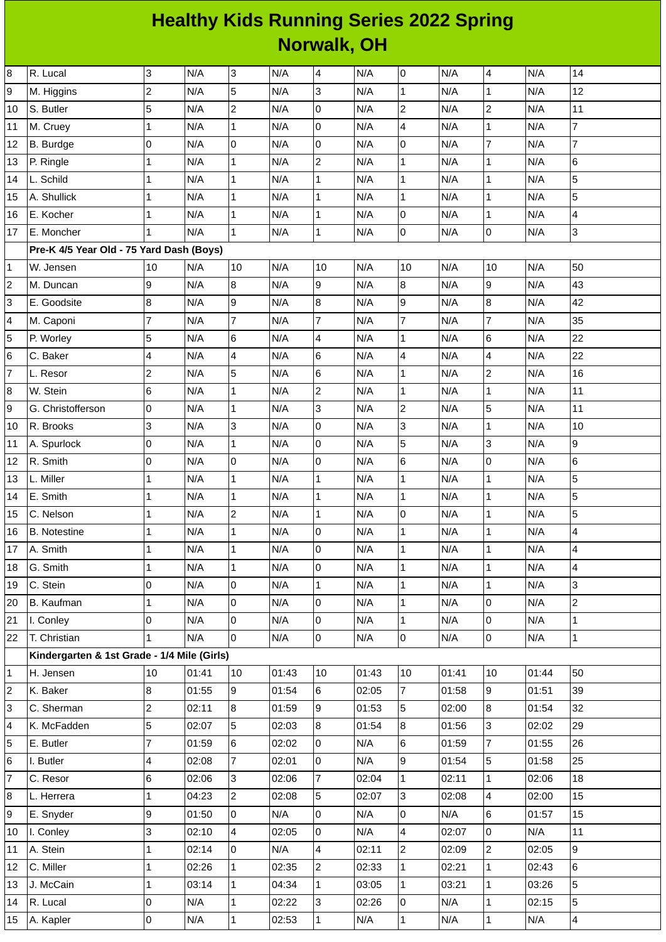## **Healthy Kids Running Series 2022 Spring Norwalk, OH**

| 3<br>N/A<br>$\overline{0}$<br>8<br>3<br>N/A<br>N/A<br>$\overline{4}$<br>N/A<br>N/A<br>14<br>R. Lucal<br>4<br>$\overline{c}$<br>5<br>$\overline{3}$<br>12<br>9<br>N/A<br>N/A<br>$\mathbf{1}$<br>N/A<br>N/A<br>N/A<br>$\mathbf{1}$<br>M. Higgins<br>5<br>$\overline{c}$<br>$\overline{c}$<br>N/A<br>0<br>N/A<br>$\overline{c}$<br>N/A<br>$11\,$<br>S. Butler<br>N/A<br>N/A<br>$\mathbf 1$<br>4<br>$\overline{7}$<br>$\overline{0}$<br>N/A<br>$\mathbf 1$<br>$\mathbf{1}$<br>N/A<br>N/A<br>N/A<br>N/A<br>M. Cruey<br>N/A<br>O<br>$\overline{0}$<br>N/A<br>7<br>N/A<br>$\overline{7}$<br>0<br>0<br>N/A<br>N/A<br>B. Burdge<br>$\overline{2}$<br>$\,6$<br>$\mathbf{1}$<br>N/A<br>N/A<br>$\mathbf{1}$<br>N/A<br>N/A<br>$\mathbf{1}$<br>N/A<br>$\mathbf{1}$<br>P. Ringle<br>5<br>L. Schild<br>N/A<br>$\mathbf 1$<br>N/A<br>$\mathbf{1}$<br>$\mathbf{1}$<br>N/A<br>$\mathbf 1$<br>N/A<br>1<br>N/A<br>5<br>$\overline{1}$<br>$\mathbf{1}$<br>$\mathbf{1}$<br>A. Shullick<br>$\mathbf{1}$<br>N/A<br>$\mathbf 1$<br>N/A<br>N/A<br>N/A<br>N/A<br>$\overline{0}$<br>$\mathbf{1}$<br>$\mathbf{1}$<br>N/A<br>$\mathbf{1}$<br>4<br>E. Kocher<br>N/A<br>$\mathbf 1$<br>N/A<br>N/A<br>N/A<br>3<br>N/A<br>$\mathbf{1}$<br>$\overline{0}$<br>0<br>$\mathbf{1}$<br>N/A<br>N/A<br>N/A<br>N/A<br>E. Moncher<br>1<br>Pre-K 4/5 Year Old - 75 Yard Dash (Boys)<br>10<br>N/A<br>N/A<br>10<br>10<br>50<br>10<br>N/A<br>N/A<br>10<br>N/A<br>W. Jensen<br>9<br>N/A<br>$\overline{8}$<br>N/A<br>9<br>8<br>N/A<br>9<br>N/A<br>43<br>N/A<br>M. Duncan<br>8<br>9<br>8<br>9<br>$\bf{8}$<br>N/A<br>N/A<br>N/A<br>N/A<br>42<br>E. Goodsite<br>N/A<br>$\overline{7}$<br>$\overline{7}$<br>$\overline{7}$<br>$\overline{7}$<br>$\overline{7}$<br>35<br>N/A<br>N/A<br>N/A<br>N/A<br>M. Caponi<br>N/A<br>5<br>6<br>6<br>22<br>N/A<br>N/A<br>$\overline{4}$<br>N/A<br>$\mathbf{1}$<br>N/A<br>N/A<br>P. Worley<br>$\overline{\mathbf{4}}$<br>4<br>22<br>$\overline{\mathbf{4}}$<br>$6\phantom{.}6$<br>N/A<br>4<br>N/A<br>N/A<br>N/A<br>N/A<br>C. Baker<br>5<br>$\overline{c}$<br>$6\phantom{.}6$<br>N/A<br>$\overline{c}$<br>16<br>N/A<br>N/A<br>$\mathbf{1}$<br>N/A<br>L. Resor<br>N/A<br>6<br>$\overline{2}$<br>N/A<br>$\mathbf 1$<br>$\mathbf{1}$<br>N/A<br>$\mathbf{1}$<br>N/A<br>11<br>W. Stein<br>N/A<br>N/A<br>$\overline{c}$<br>5<br>$\overline{3}$<br>11<br>0<br>$\mathbf 1$<br>N/A<br>G. Christofferson<br>N/A<br>N/A<br>N/A<br>N/A<br>3<br>3<br>N/A<br>3<br>O<br>N/A<br>N/A<br>10<br>R. Brooks<br>N/A<br>N/A<br>$\mathbf{1}$<br>5<br>3<br>9<br>0<br>N/A<br>N/A<br>0<br>N/A<br>N/A<br>$\mathbf{1}$<br>N/A<br>A. Spurlock<br>l0<br>$\overline{0}$<br>$6\phantom{.}6$<br>$\mathsf 0$<br>$\,6$<br>R. Smith<br>0<br>N/A<br>N/A<br>N/A<br>N/A<br>N/A<br>5<br>$\mathbf{1}$<br>L. Miller<br>$\mathbf 1$<br>N/A<br>$\mathbf 1$<br>N/A<br>$\mathbf{1}$<br>N/A<br>N/A<br>$\mathbf{1}$<br>N/A<br>5<br>$\mathbf{1}$<br>N/A<br>$\mathbf{1}$<br>$\mathbf{1}$<br>N/A<br>$\mathbf{1}$<br>$\mathbf 1$<br>N/A<br>N/A<br>N/A<br>E. Smith<br>5<br>$\overline{c}$<br>0<br>N/A<br>N/A<br>$\mathbf{1}$<br>N/A<br>$\mathbf 1$<br>N/A<br>C. Nelson<br>1<br>N/A<br>$\mathbf{1}$<br>N/A<br>$\mathbf 1$<br>0<br>$\mathbf{1}$<br>N/A<br>$\mathbf{1}$<br>N/A<br>4<br><b>B.</b> Notestine<br>N/A<br>N/A<br>$\overline{0}$<br>$\mathbf{1}$<br>$\overline{\mathbf{4}}$<br>A. Smith<br>$\mathbf 1$<br>N/A<br>$\overline{1}$<br>N/A<br>N/A<br>N/A<br>$\mathbf{1}$<br>N/A<br>N/A<br>N/A<br>lo<br>$\mathbf{1}$<br>N/A<br>N/A<br>$\overline{\mathbf{4}}$<br>N/A<br>$\mathbf{1}$<br>$\mathbf{1}$<br>$\mathbf{1}$<br>G. Smith<br>$\overline{3}$<br>0<br>C. Stein<br>N/A<br>0<br>N/A<br>$\mathbf 1$<br>N/A<br>$\mathbf{1}$<br>N/A<br>1<br>N/A<br>$\overline{c}$<br>O<br>$\mathbf{1}$<br>$\overline{0}$<br>$\mathbf 1$<br>l0<br>N/A<br>N/A<br>N/A<br>N/A<br>N/A<br><b>B.</b> Kaufman<br>0<br>0<br>0<br>$\pmb{0}$<br>$\mathbf{1}$<br>N/A<br>N/A<br>$\mathbf 1$<br>I. Conley<br>N/A<br>N/A<br>N/A<br>lo<br>$\overline{0}$<br>$\overline{0}$<br>$\mathbf 1$<br>$\mathbf{1}$<br>0<br>T. Christian<br>N/A<br>N/A<br>N/A<br>N/A<br>N/A<br>Kindergarten & 1st Grade - 1/4 Mile (Girls)<br>10<br>01:41<br>01:43<br>10<br>01:43<br>10<br>01:41<br>10<br>01:44<br>50<br>H. Jensen<br>10<br>$\overline{7}$<br>$\overline{9}$<br>8<br>9<br>$6\overline{6}$<br>01:54<br>01:58<br>39<br>K. Baker<br>01:55<br>02:05<br>01:51<br>$\overline{c}$<br>$\overline{8}$<br>$\, 8$<br>9<br>01:53<br>5<br>32<br>C. Sherman<br>02:11<br>01:59<br>02:00<br>01:54<br>5<br>5<br>8<br>3<br>02:07<br>02:03<br>8<br>01:54<br>01:56<br>02:02<br>29<br>K. McFadden<br>$\overline{7}$<br>6<br>l0<br>$6\phantom{a}$<br>$\overline{7}$<br>26<br>01:59<br>02:02<br>N/A<br>01:59<br>01:55<br>E. Butler<br>5<br>$\overline{7}$<br>0<br>9<br>I. Butler<br>4<br>02:08<br>02:01<br>N/A<br>01:54<br>01:58<br>25<br>6<br>$\overline{3}$<br>$\overline{7}$<br>$\mathbf 1$<br>C. Resor<br>02:06<br>02:06<br>02:04<br>02:11<br>02:06<br>18<br>$\mathbf{1}$<br>$\overline{c}$<br>5<br>$\overline{3}$<br>4<br>15<br>$\mathbf{1}$<br>04:23<br>02:08<br>02:07<br>02:08<br>02:00<br>L. Herrera<br>9<br>6<br>01:50<br>O<br>N/A<br>0<br>N/A<br>$\overline{0}$<br>N/A<br>15<br>E. Snyder<br>01:57<br>3<br>lo<br>$\overline{\mathbf{4}}$<br>0<br>$\overline{4}$<br>11<br>N/A<br>02:07<br>N/A<br>I. Conley<br>02:10<br>02:05 |    |          |              |       |    |     |                |       |                |       |                |       |   |
|-------------------------------------------------------------------------------------------------------------------------------------------------------------------------------------------------------------------------------------------------------------------------------------------------------------------------------------------------------------------------------------------------------------------------------------------------------------------------------------------------------------------------------------------------------------------------------------------------------------------------------------------------------------------------------------------------------------------------------------------------------------------------------------------------------------------------------------------------------------------------------------------------------------------------------------------------------------------------------------------------------------------------------------------------------------------------------------------------------------------------------------------------------------------------------------------------------------------------------------------------------------------------------------------------------------------------------------------------------------------------------------------------------------------------------------------------------------------------------------------------------------------------------------------------------------------------------------------------------------------------------------------------------------------------------------------------------------------------------------------------------------------------------------------------------------------------------------------------------------------------------------------------------------------------------------------------------------------------------------------------------------------------------------------------------------------------------------------------------------------------------------------------------------------------------------------------------------------------------------------------------------------------------------------------------------------------------------------------------------------------------------------------------------------------------------------------------------------------------------------------------------------------------------------------------------------------------------------------------------------------------------------------------------------------------------------------------------------------------------------------------------------------------------------------------------------------------------------------------------------------------------------------------------------------------------------------------------------------------------------------------------------------------------------------------------------------------------------------------------------------------------------------------------------------------------------------------------------------------------------------------------------------------------------------------------------------------------------------------------------------------------------------------------------------------------------------------------------------------------------------------------------------------------------------------------------------------------------------------------------------------------------------------------------------------------------------------------------------------------------------------------------------------------------------------------------------------------------------------------------------------------------------------------------------------------------------------------------------------------------------------------------------------------------------------------------------------------------------------------------------------------------------------------------------------------------------------------------------------------------------------------------------------------------------------------------------------------------------------------------------------------------------------------------------------------------------------------------------------------------------------------------------------------------------------------------------------------------------------------------------------------------------------------------------------------------------------------------------------------------------------------------------------------------------------------------------------------------------------------------------------------------------------------------------------------------------------------------------------------------------------------------------------------------------------------------------------------------------------------------------------------------------------------------------------------------------------------------------------------------------------------------------------------------|----|----------|--------------|-------|----|-----|----------------|-------|----------------|-------|----------------|-------|---|
|                                                                                                                                                                                                                                                                                                                                                                                                                                                                                                                                                                                                                                                                                                                                                                                                                                                                                                                                                                                                                                                                                                                                                                                                                                                                                                                                                                                                                                                                                                                                                                                                                                                                                                                                                                                                                                                                                                                                                                                                                                                                                                                                                                                                                                                                                                                                                                                                                                                                                                                                                                                                                                                                                                                                                                                                                                                                                                                                                                                                                                                                                                                                                                                                                                                                                                                                                                                                                                                                                                                                                                                                                                                                                                                                                                                                                                                                                                                                                                                                                                                                                                                                                                                                                                                                                                                                                                                                                                                                                                                                                                                                                                                                                                                                                                                                                                                                                                                                                                                                                                                                                                                                                                                                                                                                                           |    |          |              |       |    |     |                |       |                |       |                |       |   |
| 10<br>11<br>12<br>13<br>14<br>15<br>16<br>17<br>$\mathbf 1$<br>$\overline{c}$<br>3<br>4<br>5<br>6<br>$\overline{7}$<br>8<br>9<br>10<br>11<br>12<br>13<br>14<br>15<br>16<br>17<br>18<br>19<br>20<br>21<br>22<br>1<br>$\overline{c}$<br>3<br>4<br>5<br>6<br>$\overline{7}$<br>8<br>9<br>10                                                                                                                                                                                                                                                                                                                                                                                                                                                                                                                                                                                                                                                                                                                                                                                                                                                                                                                                                                                                                                                                                                                                                                                                                                                                                                                                                                                                                                                                                                                                                                                                                                                                                                                                                                                                                                                                                                                                                                                                                                                                                                                                                                                                                                                                                                                                                                                                                                                                                                                                                                                                                                                                                                                                                                                                                                                                                                                                                                                                                                                                                                                                                                                                                                                                                                                                                                                                                                                                                                                                                                                                                                                                                                                                                                                                                                                                                                                                                                                                                                                                                                                                                                                                                                                                                                                                                                                                                                                                                                                                                                                                                                                                                                                                                                                                                                                                                                                                                                                                  |    |          |              |       |    |     |                |       |                |       |                |       |   |
|                                                                                                                                                                                                                                                                                                                                                                                                                                                                                                                                                                                                                                                                                                                                                                                                                                                                                                                                                                                                                                                                                                                                                                                                                                                                                                                                                                                                                                                                                                                                                                                                                                                                                                                                                                                                                                                                                                                                                                                                                                                                                                                                                                                                                                                                                                                                                                                                                                                                                                                                                                                                                                                                                                                                                                                                                                                                                                                                                                                                                                                                                                                                                                                                                                                                                                                                                                                                                                                                                                                                                                                                                                                                                                                                                                                                                                                                                                                                                                                                                                                                                                                                                                                                                                                                                                                                                                                                                                                                                                                                                                                                                                                                                                                                                                                                                                                                                                                                                                                                                                                                                                                                                                                                                                                                                           |    |          |              |       |    |     |                |       |                |       |                |       |   |
|                                                                                                                                                                                                                                                                                                                                                                                                                                                                                                                                                                                                                                                                                                                                                                                                                                                                                                                                                                                                                                                                                                                                                                                                                                                                                                                                                                                                                                                                                                                                                                                                                                                                                                                                                                                                                                                                                                                                                                                                                                                                                                                                                                                                                                                                                                                                                                                                                                                                                                                                                                                                                                                                                                                                                                                                                                                                                                                                                                                                                                                                                                                                                                                                                                                                                                                                                                                                                                                                                                                                                                                                                                                                                                                                                                                                                                                                                                                                                                                                                                                                                                                                                                                                                                                                                                                                                                                                                                                                                                                                                                                                                                                                                                                                                                                                                                                                                                                                                                                                                                                                                                                                                                                                                                                                                           |    |          |              |       |    |     |                |       |                |       |                |       |   |
|                                                                                                                                                                                                                                                                                                                                                                                                                                                                                                                                                                                                                                                                                                                                                                                                                                                                                                                                                                                                                                                                                                                                                                                                                                                                                                                                                                                                                                                                                                                                                                                                                                                                                                                                                                                                                                                                                                                                                                                                                                                                                                                                                                                                                                                                                                                                                                                                                                                                                                                                                                                                                                                                                                                                                                                                                                                                                                                                                                                                                                                                                                                                                                                                                                                                                                                                                                                                                                                                                                                                                                                                                                                                                                                                                                                                                                                                                                                                                                                                                                                                                                                                                                                                                                                                                                                                                                                                                                                                                                                                                                                                                                                                                                                                                                                                                                                                                                                                                                                                                                                                                                                                                                                                                                                                                           |    |          |              |       |    |     |                |       |                |       |                |       |   |
|                                                                                                                                                                                                                                                                                                                                                                                                                                                                                                                                                                                                                                                                                                                                                                                                                                                                                                                                                                                                                                                                                                                                                                                                                                                                                                                                                                                                                                                                                                                                                                                                                                                                                                                                                                                                                                                                                                                                                                                                                                                                                                                                                                                                                                                                                                                                                                                                                                                                                                                                                                                                                                                                                                                                                                                                                                                                                                                                                                                                                                                                                                                                                                                                                                                                                                                                                                                                                                                                                                                                                                                                                                                                                                                                                                                                                                                                                                                                                                                                                                                                                                                                                                                                                                                                                                                                                                                                                                                                                                                                                                                                                                                                                                                                                                                                                                                                                                                                                                                                                                                                                                                                                                                                                                                                                           |    |          |              |       |    |     |                |       |                |       |                |       |   |
|                                                                                                                                                                                                                                                                                                                                                                                                                                                                                                                                                                                                                                                                                                                                                                                                                                                                                                                                                                                                                                                                                                                                                                                                                                                                                                                                                                                                                                                                                                                                                                                                                                                                                                                                                                                                                                                                                                                                                                                                                                                                                                                                                                                                                                                                                                                                                                                                                                                                                                                                                                                                                                                                                                                                                                                                                                                                                                                                                                                                                                                                                                                                                                                                                                                                                                                                                                                                                                                                                                                                                                                                                                                                                                                                                                                                                                                                                                                                                                                                                                                                                                                                                                                                                                                                                                                                                                                                                                                                                                                                                                                                                                                                                                                                                                                                                                                                                                                                                                                                                                                                                                                                                                                                                                                                                           |    |          |              |       |    |     |                |       |                |       |                |       |   |
|                                                                                                                                                                                                                                                                                                                                                                                                                                                                                                                                                                                                                                                                                                                                                                                                                                                                                                                                                                                                                                                                                                                                                                                                                                                                                                                                                                                                                                                                                                                                                                                                                                                                                                                                                                                                                                                                                                                                                                                                                                                                                                                                                                                                                                                                                                                                                                                                                                                                                                                                                                                                                                                                                                                                                                                                                                                                                                                                                                                                                                                                                                                                                                                                                                                                                                                                                                                                                                                                                                                                                                                                                                                                                                                                                                                                                                                                                                                                                                                                                                                                                                                                                                                                                                                                                                                                                                                                                                                                                                                                                                                                                                                                                                                                                                                                                                                                                                                                                                                                                                                                                                                                                                                                                                                                                           |    |          |              |       |    |     |                |       |                |       |                |       |   |
|                                                                                                                                                                                                                                                                                                                                                                                                                                                                                                                                                                                                                                                                                                                                                                                                                                                                                                                                                                                                                                                                                                                                                                                                                                                                                                                                                                                                                                                                                                                                                                                                                                                                                                                                                                                                                                                                                                                                                                                                                                                                                                                                                                                                                                                                                                                                                                                                                                                                                                                                                                                                                                                                                                                                                                                                                                                                                                                                                                                                                                                                                                                                                                                                                                                                                                                                                                                                                                                                                                                                                                                                                                                                                                                                                                                                                                                                                                                                                                                                                                                                                                                                                                                                                                                                                                                                                                                                                                                                                                                                                                                                                                                                                                                                                                                                                                                                                                                                                                                                                                                                                                                                                                                                                                                                                           |    |          |              |       |    |     |                |       |                |       |                |       |   |
|                                                                                                                                                                                                                                                                                                                                                                                                                                                                                                                                                                                                                                                                                                                                                                                                                                                                                                                                                                                                                                                                                                                                                                                                                                                                                                                                                                                                                                                                                                                                                                                                                                                                                                                                                                                                                                                                                                                                                                                                                                                                                                                                                                                                                                                                                                                                                                                                                                                                                                                                                                                                                                                                                                                                                                                                                                                                                                                                                                                                                                                                                                                                                                                                                                                                                                                                                                                                                                                                                                                                                                                                                                                                                                                                                                                                                                                                                                                                                                                                                                                                                                                                                                                                                                                                                                                                                                                                                                                                                                                                                                                                                                                                                                                                                                                                                                                                                                                                                                                                                                                                                                                                                                                                                                                                                           |    |          |              |       |    |     |                |       |                |       |                |       |   |
|                                                                                                                                                                                                                                                                                                                                                                                                                                                                                                                                                                                                                                                                                                                                                                                                                                                                                                                                                                                                                                                                                                                                                                                                                                                                                                                                                                                                                                                                                                                                                                                                                                                                                                                                                                                                                                                                                                                                                                                                                                                                                                                                                                                                                                                                                                                                                                                                                                                                                                                                                                                                                                                                                                                                                                                                                                                                                                                                                                                                                                                                                                                                                                                                                                                                                                                                                                                                                                                                                                                                                                                                                                                                                                                                                                                                                                                                                                                                                                                                                                                                                                                                                                                                                                                                                                                                                                                                                                                                                                                                                                                                                                                                                                                                                                                                                                                                                                                                                                                                                                                                                                                                                                                                                                                                                           |    |          |              |       |    |     |                |       |                |       |                |       |   |
|                                                                                                                                                                                                                                                                                                                                                                                                                                                                                                                                                                                                                                                                                                                                                                                                                                                                                                                                                                                                                                                                                                                                                                                                                                                                                                                                                                                                                                                                                                                                                                                                                                                                                                                                                                                                                                                                                                                                                                                                                                                                                                                                                                                                                                                                                                                                                                                                                                                                                                                                                                                                                                                                                                                                                                                                                                                                                                                                                                                                                                                                                                                                                                                                                                                                                                                                                                                                                                                                                                                                                                                                                                                                                                                                                                                                                                                                                                                                                                                                                                                                                                                                                                                                                                                                                                                                                                                                                                                                                                                                                                                                                                                                                                                                                                                                                                                                                                                                                                                                                                                                                                                                                                                                                                                                                           |    |          |              |       |    |     |                |       |                |       |                |       |   |
|                                                                                                                                                                                                                                                                                                                                                                                                                                                                                                                                                                                                                                                                                                                                                                                                                                                                                                                                                                                                                                                                                                                                                                                                                                                                                                                                                                                                                                                                                                                                                                                                                                                                                                                                                                                                                                                                                                                                                                                                                                                                                                                                                                                                                                                                                                                                                                                                                                                                                                                                                                                                                                                                                                                                                                                                                                                                                                                                                                                                                                                                                                                                                                                                                                                                                                                                                                                                                                                                                                                                                                                                                                                                                                                                                                                                                                                                                                                                                                                                                                                                                                                                                                                                                                                                                                                                                                                                                                                                                                                                                                                                                                                                                                                                                                                                                                                                                                                                                                                                                                                                                                                                                                                                                                                                                           |    |          |              |       |    |     |                |       |                |       |                |       |   |
|                                                                                                                                                                                                                                                                                                                                                                                                                                                                                                                                                                                                                                                                                                                                                                                                                                                                                                                                                                                                                                                                                                                                                                                                                                                                                                                                                                                                                                                                                                                                                                                                                                                                                                                                                                                                                                                                                                                                                                                                                                                                                                                                                                                                                                                                                                                                                                                                                                                                                                                                                                                                                                                                                                                                                                                                                                                                                                                                                                                                                                                                                                                                                                                                                                                                                                                                                                                                                                                                                                                                                                                                                                                                                                                                                                                                                                                                                                                                                                                                                                                                                                                                                                                                                                                                                                                                                                                                                                                                                                                                                                                                                                                                                                                                                                                                                                                                                                                                                                                                                                                                                                                                                                                                                                                                                           |    |          |              |       |    |     |                |       |                |       |                |       |   |
|                                                                                                                                                                                                                                                                                                                                                                                                                                                                                                                                                                                                                                                                                                                                                                                                                                                                                                                                                                                                                                                                                                                                                                                                                                                                                                                                                                                                                                                                                                                                                                                                                                                                                                                                                                                                                                                                                                                                                                                                                                                                                                                                                                                                                                                                                                                                                                                                                                                                                                                                                                                                                                                                                                                                                                                                                                                                                                                                                                                                                                                                                                                                                                                                                                                                                                                                                                                                                                                                                                                                                                                                                                                                                                                                                                                                                                                                                                                                                                                                                                                                                                                                                                                                                                                                                                                                                                                                                                                                                                                                                                                                                                                                                                                                                                                                                                                                                                                                                                                                                                                                                                                                                                                                                                                                                           |    |          |              |       |    |     |                |       |                |       |                |       |   |
|                                                                                                                                                                                                                                                                                                                                                                                                                                                                                                                                                                                                                                                                                                                                                                                                                                                                                                                                                                                                                                                                                                                                                                                                                                                                                                                                                                                                                                                                                                                                                                                                                                                                                                                                                                                                                                                                                                                                                                                                                                                                                                                                                                                                                                                                                                                                                                                                                                                                                                                                                                                                                                                                                                                                                                                                                                                                                                                                                                                                                                                                                                                                                                                                                                                                                                                                                                                                                                                                                                                                                                                                                                                                                                                                                                                                                                                                                                                                                                                                                                                                                                                                                                                                                                                                                                                                                                                                                                                                                                                                                                                                                                                                                                                                                                                                                                                                                                                                                                                                                                                                                                                                                                                                                                                                                           |    |          |              |       |    |     |                |       |                |       |                |       |   |
|                                                                                                                                                                                                                                                                                                                                                                                                                                                                                                                                                                                                                                                                                                                                                                                                                                                                                                                                                                                                                                                                                                                                                                                                                                                                                                                                                                                                                                                                                                                                                                                                                                                                                                                                                                                                                                                                                                                                                                                                                                                                                                                                                                                                                                                                                                                                                                                                                                                                                                                                                                                                                                                                                                                                                                                                                                                                                                                                                                                                                                                                                                                                                                                                                                                                                                                                                                                                                                                                                                                                                                                                                                                                                                                                                                                                                                                                                                                                                                                                                                                                                                                                                                                                                                                                                                                                                                                                                                                                                                                                                                                                                                                                                                                                                                                                                                                                                                                                                                                                                                                                                                                                                                                                                                                                                           |    |          |              |       |    |     |                |       |                |       |                |       |   |
|                                                                                                                                                                                                                                                                                                                                                                                                                                                                                                                                                                                                                                                                                                                                                                                                                                                                                                                                                                                                                                                                                                                                                                                                                                                                                                                                                                                                                                                                                                                                                                                                                                                                                                                                                                                                                                                                                                                                                                                                                                                                                                                                                                                                                                                                                                                                                                                                                                                                                                                                                                                                                                                                                                                                                                                                                                                                                                                                                                                                                                                                                                                                                                                                                                                                                                                                                                                                                                                                                                                                                                                                                                                                                                                                                                                                                                                                                                                                                                                                                                                                                                                                                                                                                                                                                                                                                                                                                                                                                                                                                                                                                                                                                                                                                                                                                                                                                                                                                                                                                                                                                                                                                                                                                                                                                           |    |          |              |       |    |     |                |       |                |       |                |       |   |
|                                                                                                                                                                                                                                                                                                                                                                                                                                                                                                                                                                                                                                                                                                                                                                                                                                                                                                                                                                                                                                                                                                                                                                                                                                                                                                                                                                                                                                                                                                                                                                                                                                                                                                                                                                                                                                                                                                                                                                                                                                                                                                                                                                                                                                                                                                                                                                                                                                                                                                                                                                                                                                                                                                                                                                                                                                                                                                                                                                                                                                                                                                                                                                                                                                                                                                                                                                                                                                                                                                                                                                                                                                                                                                                                                                                                                                                                                                                                                                                                                                                                                                                                                                                                                                                                                                                                                                                                                                                                                                                                                                                                                                                                                                                                                                                                                                                                                                                                                                                                                                                                                                                                                                                                                                                                                           |    |          |              |       |    |     |                |       |                |       |                |       |   |
|                                                                                                                                                                                                                                                                                                                                                                                                                                                                                                                                                                                                                                                                                                                                                                                                                                                                                                                                                                                                                                                                                                                                                                                                                                                                                                                                                                                                                                                                                                                                                                                                                                                                                                                                                                                                                                                                                                                                                                                                                                                                                                                                                                                                                                                                                                                                                                                                                                                                                                                                                                                                                                                                                                                                                                                                                                                                                                                                                                                                                                                                                                                                                                                                                                                                                                                                                                                                                                                                                                                                                                                                                                                                                                                                                                                                                                                                                                                                                                                                                                                                                                                                                                                                                                                                                                                                                                                                                                                                                                                                                                                                                                                                                                                                                                                                                                                                                                                                                                                                                                                                                                                                                                                                                                                                                           |    |          |              |       |    |     |                |       |                |       |                |       |   |
|                                                                                                                                                                                                                                                                                                                                                                                                                                                                                                                                                                                                                                                                                                                                                                                                                                                                                                                                                                                                                                                                                                                                                                                                                                                                                                                                                                                                                                                                                                                                                                                                                                                                                                                                                                                                                                                                                                                                                                                                                                                                                                                                                                                                                                                                                                                                                                                                                                                                                                                                                                                                                                                                                                                                                                                                                                                                                                                                                                                                                                                                                                                                                                                                                                                                                                                                                                                                                                                                                                                                                                                                                                                                                                                                                                                                                                                                                                                                                                                                                                                                                                                                                                                                                                                                                                                                                                                                                                                                                                                                                                                                                                                                                                                                                                                                                                                                                                                                                                                                                                                                                                                                                                                                                                                                                           |    |          |              |       |    |     |                |       |                |       |                |       |   |
|                                                                                                                                                                                                                                                                                                                                                                                                                                                                                                                                                                                                                                                                                                                                                                                                                                                                                                                                                                                                                                                                                                                                                                                                                                                                                                                                                                                                                                                                                                                                                                                                                                                                                                                                                                                                                                                                                                                                                                                                                                                                                                                                                                                                                                                                                                                                                                                                                                                                                                                                                                                                                                                                                                                                                                                                                                                                                                                                                                                                                                                                                                                                                                                                                                                                                                                                                                                                                                                                                                                                                                                                                                                                                                                                                                                                                                                                                                                                                                                                                                                                                                                                                                                                                                                                                                                                                                                                                                                                                                                                                                                                                                                                                                                                                                                                                                                                                                                                                                                                                                                                                                                                                                                                                                                                                           |    |          |              |       |    |     |                |       |                |       |                |       |   |
|                                                                                                                                                                                                                                                                                                                                                                                                                                                                                                                                                                                                                                                                                                                                                                                                                                                                                                                                                                                                                                                                                                                                                                                                                                                                                                                                                                                                                                                                                                                                                                                                                                                                                                                                                                                                                                                                                                                                                                                                                                                                                                                                                                                                                                                                                                                                                                                                                                                                                                                                                                                                                                                                                                                                                                                                                                                                                                                                                                                                                                                                                                                                                                                                                                                                                                                                                                                                                                                                                                                                                                                                                                                                                                                                                                                                                                                                                                                                                                                                                                                                                                                                                                                                                                                                                                                                                                                                                                                                                                                                                                                                                                                                                                                                                                                                                                                                                                                                                                                                                                                                                                                                                                                                                                                                                           |    |          |              |       |    |     |                |       |                |       |                |       |   |
|                                                                                                                                                                                                                                                                                                                                                                                                                                                                                                                                                                                                                                                                                                                                                                                                                                                                                                                                                                                                                                                                                                                                                                                                                                                                                                                                                                                                                                                                                                                                                                                                                                                                                                                                                                                                                                                                                                                                                                                                                                                                                                                                                                                                                                                                                                                                                                                                                                                                                                                                                                                                                                                                                                                                                                                                                                                                                                                                                                                                                                                                                                                                                                                                                                                                                                                                                                                                                                                                                                                                                                                                                                                                                                                                                                                                                                                                                                                                                                                                                                                                                                                                                                                                                                                                                                                                                                                                                                                                                                                                                                                                                                                                                                                                                                                                                                                                                                                                                                                                                                                                                                                                                                                                                                                                                           |    |          |              |       |    |     |                |       |                |       |                |       |   |
|                                                                                                                                                                                                                                                                                                                                                                                                                                                                                                                                                                                                                                                                                                                                                                                                                                                                                                                                                                                                                                                                                                                                                                                                                                                                                                                                                                                                                                                                                                                                                                                                                                                                                                                                                                                                                                                                                                                                                                                                                                                                                                                                                                                                                                                                                                                                                                                                                                                                                                                                                                                                                                                                                                                                                                                                                                                                                                                                                                                                                                                                                                                                                                                                                                                                                                                                                                                                                                                                                                                                                                                                                                                                                                                                                                                                                                                                                                                                                                                                                                                                                                                                                                                                                                                                                                                                                                                                                                                                                                                                                                                                                                                                                                                                                                                                                                                                                                                                                                                                                                                                                                                                                                                                                                                                                           |    |          |              |       |    |     |                |       |                |       |                |       |   |
|                                                                                                                                                                                                                                                                                                                                                                                                                                                                                                                                                                                                                                                                                                                                                                                                                                                                                                                                                                                                                                                                                                                                                                                                                                                                                                                                                                                                                                                                                                                                                                                                                                                                                                                                                                                                                                                                                                                                                                                                                                                                                                                                                                                                                                                                                                                                                                                                                                                                                                                                                                                                                                                                                                                                                                                                                                                                                                                                                                                                                                                                                                                                                                                                                                                                                                                                                                                                                                                                                                                                                                                                                                                                                                                                                                                                                                                                                                                                                                                                                                                                                                                                                                                                                                                                                                                                                                                                                                                                                                                                                                                                                                                                                                                                                                                                                                                                                                                                                                                                                                                                                                                                                                                                                                                                                           |    |          |              |       |    |     |                |       |                |       |                |       |   |
|                                                                                                                                                                                                                                                                                                                                                                                                                                                                                                                                                                                                                                                                                                                                                                                                                                                                                                                                                                                                                                                                                                                                                                                                                                                                                                                                                                                                                                                                                                                                                                                                                                                                                                                                                                                                                                                                                                                                                                                                                                                                                                                                                                                                                                                                                                                                                                                                                                                                                                                                                                                                                                                                                                                                                                                                                                                                                                                                                                                                                                                                                                                                                                                                                                                                                                                                                                                                                                                                                                                                                                                                                                                                                                                                                                                                                                                                                                                                                                                                                                                                                                                                                                                                                                                                                                                                                                                                                                                                                                                                                                                                                                                                                                                                                                                                                                                                                                                                                                                                                                                                                                                                                                                                                                                                                           |    |          |              |       |    |     |                |       |                |       |                |       |   |
|                                                                                                                                                                                                                                                                                                                                                                                                                                                                                                                                                                                                                                                                                                                                                                                                                                                                                                                                                                                                                                                                                                                                                                                                                                                                                                                                                                                                                                                                                                                                                                                                                                                                                                                                                                                                                                                                                                                                                                                                                                                                                                                                                                                                                                                                                                                                                                                                                                                                                                                                                                                                                                                                                                                                                                                                                                                                                                                                                                                                                                                                                                                                                                                                                                                                                                                                                                                                                                                                                                                                                                                                                                                                                                                                                                                                                                                                                                                                                                                                                                                                                                                                                                                                                                                                                                                                                                                                                                                                                                                                                                                                                                                                                                                                                                                                                                                                                                                                                                                                                                                                                                                                                                                                                                                                                           |    |          |              |       |    |     |                |       |                |       |                |       |   |
|                                                                                                                                                                                                                                                                                                                                                                                                                                                                                                                                                                                                                                                                                                                                                                                                                                                                                                                                                                                                                                                                                                                                                                                                                                                                                                                                                                                                                                                                                                                                                                                                                                                                                                                                                                                                                                                                                                                                                                                                                                                                                                                                                                                                                                                                                                                                                                                                                                                                                                                                                                                                                                                                                                                                                                                                                                                                                                                                                                                                                                                                                                                                                                                                                                                                                                                                                                                                                                                                                                                                                                                                                                                                                                                                                                                                                                                                                                                                                                                                                                                                                                                                                                                                                                                                                                                                                                                                                                                                                                                                                                                                                                                                                                                                                                                                                                                                                                                                                                                                                                                                                                                                                                                                                                                                                           |    |          |              |       |    |     |                |       |                |       |                |       |   |
|                                                                                                                                                                                                                                                                                                                                                                                                                                                                                                                                                                                                                                                                                                                                                                                                                                                                                                                                                                                                                                                                                                                                                                                                                                                                                                                                                                                                                                                                                                                                                                                                                                                                                                                                                                                                                                                                                                                                                                                                                                                                                                                                                                                                                                                                                                                                                                                                                                                                                                                                                                                                                                                                                                                                                                                                                                                                                                                                                                                                                                                                                                                                                                                                                                                                                                                                                                                                                                                                                                                                                                                                                                                                                                                                                                                                                                                                                                                                                                                                                                                                                                                                                                                                                                                                                                                                                                                                                                                                                                                                                                                                                                                                                                                                                                                                                                                                                                                                                                                                                                                                                                                                                                                                                                                                                           |    |          |              |       |    |     |                |       |                |       |                |       |   |
|                                                                                                                                                                                                                                                                                                                                                                                                                                                                                                                                                                                                                                                                                                                                                                                                                                                                                                                                                                                                                                                                                                                                                                                                                                                                                                                                                                                                                                                                                                                                                                                                                                                                                                                                                                                                                                                                                                                                                                                                                                                                                                                                                                                                                                                                                                                                                                                                                                                                                                                                                                                                                                                                                                                                                                                                                                                                                                                                                                                                                                                                                                                                                                                                                                                                                                                                                                                                                                                                                                                                                                                                                                                                                                                                                                                                                                                                                                                                                                                                                                                                                                                                                                                                                                                                                                                                                                                                                                                                                                                                                                                                                                                                                                                                                                                                                                                                                                                                                                                                                                                                                                                                                                                                                                                                                           |    |          |              |       |    |     |                |       |                |       |                |       |   |
|                                                                                                                                                                                                                                                                                                                                                                                                                                                                                                                                                                                                                                                                                                                                                                                                                                                                                                                                                                                                                                                                                                                                                                                                                                                                                                                                                                                                                                                                                                                                                                                                                                                                                                                                                                                                                                                                                                                                                                                                                                                                                                                                                                                                                                                                                                                                                                                                                                                                                                                                                                                                                                                                                                                                                                                                                                                                                                                                                                                                                                                                                                                                                                                                                                                                                                                                                                                                                                                                                                                                                                                                                                                                                                                                                                                                                                                                                                                                                                                                                                                                                                                                                                                                                                                                                                                                                                                                                                                                                                                                                                                                                                                                                                                                                                                                                                                                                                                                                                                                                                                                                                                                                                                                                                                                                           |    |          |              |       |    |     |                |       |                |       |                |       |   |
|                                                                                                                                                                                                                                                                                                                                                                                                                                                                                                                                                                                                                                                                                                                                                                                                                                                                                                                                                                                                                                                                                                                                                                                                                                                                                                                                                                                                                                                                                                                                                                                                                                                                                                                                                                                                                                                                                                                                                                                                                                                                                                                                                                                                                                                                                                                                                                                                                                                                                                                                                                                                                                                                                                                                                                                                                                                                                                                                                                                                                                                                                                                                                                                                                                                                                                                                                                                                                                                                                                                                                                                                                                                                                                                                                                                                                                                                                                                                                                                                                                                                                                                                                                                                                                                                                                                                                                                                                                                                                                                                                                                                                                                                                                                                                                                                                                                                                                                                                                                                                                                                                                                                                                                                                                                                                           |    |          |              |       |    |     |                |       |                |       |                |       |   |
|                                                                                                                                                                                                                                                                                                                                                                                                                                                                                                                                                                                                                                                                                                                                                                                                                                                                                                                                                                                                                                                                                                                                                                                                                                                                                                                                                                                                                                                                                                                                                                                                                                                                                                                                                                                                                                                                                                                                                                                                                                                                                                                                                                                                                                                                                                                                                                                                                                                                                                                                                                                                                                                                                                                                                                                                                                                                                                                                                                                                                                                                                                                                                                                                                                                                                                                                                                                                                                                                                                                                                                                                                                                                                                                                                                                                                                                                                                                                                                                                                                                                                                                                                                                                                                                                                                                                                                                                                                                                                                                                                                                                                                                                                                                                                                                                                                                                                                                                                                                                                                                                                                                                                                                                                                                                                           |    |          |              |       |    |     |                |       |                |       |                |       |   |
|                                                                                                                                                                                                                                                                                                                                                                                                                                                                                                                                                                                                                                                                                                                                                                                                                                                                                                                                                                                                                                                                                                                                                                                                                                                                                                                                                                                                                                                                                                                                                                                                                                                                                                                                                                                                                                                                                                                                                                                                                                                                                                                                                                                                                                                                                                                                                                                                                                                                                                                                                                                                                                                                                                                                                                                                                                                                                                                                                                                                                                                                                                                                                                                                                                                                                                                                                                                                                                                                                                                                                                                                                                                                                                                                                                                                                                                                                                                                                                                                                                                                                                                                                                                                                                                                                                                                                                                                                                                                                                                                                                                                                                                                                                                                                                                                                                                                                                                                                                                                                                                                                                                                                                                                                                                                                           |    |          |              |       |    |     |                |       |                |       |                |       |   |
|                                                                                                                                                                                                                                                                                                                                                                                                                                                                                                                                                                                                                                                                                                                                                                                                                                                                                                                                                                                                                                                                                                                                                                                                                                                                                                                                                                                                                                                                                                                                                                                                                                                                                                                                                                                                                                                                                                                                                                                                                                                                                                                                                                                                                                                                                                                                                                                                                                                                                                                                                                                                                                                                                                                                                                                                                                                                                                                                                                                                                                                                                                                                                                                                                                                                                                                                                                                                                                                                                                                                                                                                                                                                                                                                                                                                                                                                                                                                                                                                                                                                                                                                                                                                                                                                                                                                                                                                                                                                                                                                                                                                                                                                                                                                                                                                                                                                                                                                                                                                                                                                                                                                                                                                                                                                                           |    |          |              |       |    |     |                |       |                |       |                |       |   |
|                                                                                                                                                                                                                                                                                                                                                                                                                                                                                                                                                                                                                                                                                                                                                                                                                                                                                                                                                                                                                                                                                                                                                                                                                                                                                                                                                                                                                                                                                                                                                                                                                                                                                                                                                                                                                                                                                                                                                                                                                                                                                                                                                                                                                                                                                                                                                                                                                                                                                                                                                                                                                                                                                                                                                                                                                                                                                                                                                                                                                                                                                                                                                                                                                                                                                                                                                                                                                                                                                                                                                                                                                                                                                                                                                                                                                                                                                                                                                                                                                                                                                                                                                                                                                                                                                                                                                                                                                                                                                                                                                                                                                                                                                                                                                                                                                                                                                                                                                                                                                                                                                                                                                                                                                                                                                           |    |          |              |       |    |     |                |       |                |       |                |       |   |
|                                                                                                                                                                                                                                                                                                                                                                                                                                                                                                                                                                                                                                                                                                                                                                                                                                                                                                                                                                                                                                                                                                                                                                                                                                                                                                                                                                                                                                                                                                                                                                                                                                                                                                                                                                                                                                                                                                                                                                                                                                                                                                                                                                                                                                                                                                                                                                                                                                                                                                                                                                                                                                                                                                                                                                                                                                                                                                                                                                                                                                                                                                                                                                                                                                                                                                                                                                                                                                                                                                                                                                                                                                                                                                                                                                                                                                                                                                                                                                                                                                                                                                                                                                                                                                                                                                                                                                                                                                                                                                                                                                                                                                                                                                                                                                                                                                                                                                                                                                                                                                                                                                                                                                                                                                                                                           |    |          |              |       |    |     |                |       |                |       |                |       |   |
|                                                                                                                                                                                                                                                                                                                                                                                                                                                                                                                                                                                                                                                                                                                                                                                                                                                                                                                                                                                                                                                                                                                                                                                                                                                                                                                                                                                                                                                                                                                                                                                                                                                                                                                                                                                                                                                                                                                                                                                                                                                                                                                                                                                                                                                                                                                                                                                                                                                                                                                                                                                                                                                                                                                                                                                                                                                                                                                                                                                                                                                                                                                                                                                                                                                                                                                                                                                                                                                                                                                                                                                                                                                                                                                                                                                                                                                                                                                                                                                                                                                                                                                                                                                                                                                                                                                                                                                                                                                                                                                                                                                                                                                                                                                                                                                                                                                                                                                                                                                                                                                                                                                                                                                                                                                                                           |    |          |              |       |    |     |                |       |                |       |                |       |   |
|                                                                                                                                                                                                                                                                                                                                                                                                                                                                                                                                                                                                                                                                                                                                                                                                                                                                                                                                                                                                                                                                                                                                                                                                                                                                                                                                                                                                                                                                                                                                                                                                                                                                                                                                                                                                                                                                                                                                                                                                                                                                                                                                                                                                                                                                                                                                                                                                                                                                                                                                                                                                                                                                                                                                                                                                                                                                                                                                                                                                                                                                                                                                                                                                                                                                                                                                                                                                                                                                                                                                                                                                                                                                                                                                                                                                                                                                                                                                                                                                                                                                                                                                                                                                                                                                                                                                                                                                                                                                                                                                                                                                                                                                                                                                                                                                                                                                                                                                                                                                                                                                                                                                                                                                                                                                                           |    |          |              |       |    |     |                |       |                |       |                |       |   |
|                                                                                                                                                                                                                                                                                                                                                                                                                                                                                                                                                                                                                                                                                                                                                                                                                                                                                                                                                                                                                                                                                                                                                                                                                                                                                                                                                                                                                                                                                                                                                                                                                                                                                                                                                                                                                                                                                                                                                                                                                                                                                                                                                                                                                                                                                                                                                                                                                                                                                                                                                                                                                                                                                                                                                                                                                                                                                                                                                                                                                                                                                                                                                                                                                                                                                                                                                                                                                                                                                                                                                                                                                                                                                                                                                                                                                                                                                                                                                                                                                                                                                                                                                                                                                                                                                                                                                                                                                                                                                                                                                                                                                                                                                                                                                                                                                                                                                                                                                                                                                                                                                                                                                                                                                                                                                           |    |          |              |       |    |     |                |       |                |       |                |       |   |
|                                                                                                                                                                                                                                                                                                                                                                                                                                                                                                                                                                                                                                                                                                                                                                                                                                                                                                                                                                                                                                                                                                                                                                                                                                                                                                                                                                                                                                                                                                                                                                                                                                                                                                                                                                                                                                                                                                                                                                                                                                                                                                                                                                                                                                                                                                                                                                                                                                                                                                                                                                                                                                                                                                                                                                                                                                                                                                                                                                                                                                                                                                                                                                                                                                                                                                                                                                                                                                                                                                                                                                                                                                                                                                                                                                                                                                                                                                                                                                                                                                                                                                                                                                                                                                                                                                                                                                                                                                                                                                                                                                                                                                                                                                                                                                                                                                                                                                                                                                                                                                                                                                                                                                                                                                                                                           |    |          |              |       |    |     |                |       |                |       |                |       |   |
|                                                                                                                                                                                                                                                                                                                                                                                                                                                                                                                                                                                                                                                                                                                                                                                                                                                                                                                                                                                                                                                                                                                                                                                                                                                                                                                                                                                                                                                                                                                                                                                                                                                                                                                                                                                                                                                                                                                                                                                                                                                                                                                                                                                                                                                                                                                                                                                                                                                                                                                                                                                                                                                                                                                                                                                                                                                                                                                                                                                                                                                                                                                                                                                                                                                                                                                                                                                                                                                                                                                                                                                                                                                                                                                                                                                                                                                                                                                                                                                                                                                                                                                                                                                                                                                                                                                                                                                                                                                                                                                                                                                                                                                                                                                                                                                                                                                                                                                                                                                                                                                                                                                                                                                                                                                                                           |    |          |              |       |    |     |                |       |                |       |                |       |   |
|                                                                                                                                                                                                                                                                                                                                                                                                                                                                                                                                                                                                                                                                                                                                                                                                                                                                                                                                                                                                                                                                                                                                                                                                                                                                                                                                                                                                                                                                                                                                                                                                                                                                                                                                                                                                                                                                                                                                                                                                                                                                                                                                                                                                                                                                                                                                                                                                                                                                                                                                                                                                                                                                                                                                                                                                                                                                                                                                                                                                                                                                                                                                                                                                                                                                                                                                                                                                                                                                                                                                                                                                                                                                                                                                                                                                                                                                                                                                                                                                                                                                                                                                                                                                                                                                                                                                                                                                                                                                                                                                                                                                                                                                                                                                                                                                                                                                                                                                                                                                                                                                                                                                                                                                                                                                                           |    |          |              |       |    |     |                |       |                |       |                |       |   |
|                                                                                                                                                                                                                                                                                                                                                                                                                                                                                                                                                                                                                                                                                                                                                                                                                                                                                                                                                                                                                                                                                                                                                                                                                                                                                                                                                                                                                                                                                                                                                                                                                                                                                                                                                                                                                                                                                                                                                                                                                                                                                                                                                                                                                                                                                                                                                                                                                                                                                                                                                                                                                                                                                                                                                                                                                                                                                                                                                                                                                                                                                                                                                                                                                                                                                                                                                                                                                                                                                                                                                                                                                                                                                                                                                                                                                                                                                                                                                                                                                                                                                                                                                                                                                                                                                                                                                                                                                                                                                                                                                                                                                                                                                                                                                                                                                                                                                                                                                                                                                                                                                                                                                                                                                                                                                           | 11 | A. Stein | $\mathbf{1}$ | 02:14 | l0 | N/A | $\overline{4}$ | 02:11 | $\overline{2}$ | 02:09 | $\overline{c}$ | 02:05 | 9 |
| $\,6$<br>$\mathbf 1$<br>$\overline{c}$<br>12<br>C. Miller<br>02:26<br>$\mathbf{1}$<br>02:35<br>02:33<br>$\mathbf{1}$<br>02:21<br>$\mathbf{1}$<br>02:43                                                                                                                                                                                                                                                                                                                                                                                                                                                                                                                                                                                                                                                                                                                                                                                                                                                                                                                                                                                                                                                                                                                                                                                                                                                                                                                                                                                                                                                                                                                                                                                                                                                                                                                                                                                                                                                                                                                                                                                                                                                                                                                                                                                                                                                                                                                                                                                                                                                                                                                                                                                                                                                                                                                                                                                                                                                                                                                                                                                                                                                                                                                                                                                                                                                                                                                                                                                                                                                                                                                                                                                                                                                                                                                                                                                                                                                                                                                                                                                                                                                                                                                                                                                                                                                                                                                                                                                                                                                                                                                                                                                                                                                                                                                                                                                                                                                                                                                                                                                                                                                                                                                                    |    |          |              |       |    |     |                |       |                |       |                |       |   |
| 5<br>$\mathbf 1$<br>$\mathbf 1$<br>$\mathbf 1$<br>1<br>$\mathbf{1}$<br>J. McCain<br>03:14<br>04:34<br>03:05<br>03:21<br>03:26<br>13                                                                                                                                                                                                                                                                                                                                                                                                                                                                                                                                                                                                                                                                                                                                                                                                                                                                                                                                                                                                                                                                                                                                                                                                                                                                                                                                                                                                                                                                                                                                                                                                                                                                                                                                                                                                                                                                                                                                                                                                                                                                                                                                                                                                                                                                                                                                                                                                                                                                                                                                                                                                                                                                                                                                                                                                                                                                                                                                                                                                                                                                                                                                                                                                                                                                                                                                                                                                                                                                                                                                                                                                                                                                                                                                                                                                                                                                                                                                                                                                                                                                                                                                                                                                                                                                                                                                                                                                                                                                                                                                                                                                                                                                                                                                                                                                                                                                                                                                                                                                                                                                                                                                                       |    |          |              |       |    |     |                |       |                |       |                |       |   |
| 5<br>0<br>N/A<br>Iз<br>0<br>N/A<br>$\mathbf{1}$<br>02:15<br>R. Lucal<br>$\mathbf 1$<br>02:22<br>02:26<br>14                                                                                                                                                                                                                                                                                                                                                                                                                                                                                                                                                                                                                                                                                                                                                                                                                                                                                                                                                                                                                                                                                                                                                                                                                                                                                                                                                                                                                                                                                                                                                                                                                                                                                                                                                                                                                                                                                                                                                                                                                                                                                                                                                                                                                                                                                                                                                                                                                                                                                                                                                                                                                                                                                                                                                                                                                                                                                                                                                                                                                                                                                                                                                                                                                                                                                                                                                                                                                                                                                                                                                                                                                                                                                                                                                                                                                                                                                                                                                                                                                                                                                                                                                                                                                                                                                                                                                                                                                                                                                                                                                                                                                                                                                                                                                                                                                                                                                                                                                                                                                                                                                                                                                                               |    |          |              |       |    |     |                |       |                |       |                |       |   |
| 0<br>N/A<br>02:53<br>N/A<br>$\mathbf 1$<br>N/A<br>$\mathbf 1$<br>N/A<br>$\overline{4}$<br>15<br>A. Kapler<br>$\mathbf 1$<br>1                                                                                                                                                                                                                                                                                                                                                                                                                                                                                                                                                                                                                                                                                                                                                                                                                                                                                                                                                                                                                                                                                                                                                                                                                                                                                                                                                                                                                                                                                                                                                                                                                                                                                                                                                                                                                                                                                                                                                                                                                                                                                                                                                                                                                                                                                                                                                                                                                                                                                                                                                                                                                                                                                                                                                                                                                                                                                                                                                                                                                                                                                                                                                                                                                                                                                                                                                                                                                                                                                                                                                                                                                                                                                                                                                                                                                                                                                                                                                                                                                                                                                                                                                                                                                                                                                                                                                                                                                                                                                                                                                                                                                                                                                                                                                                                                                                                                                                                                                                                                                                                                                                                                                             |    |          |              |       |    |     |                |       |                |       |                |       |   |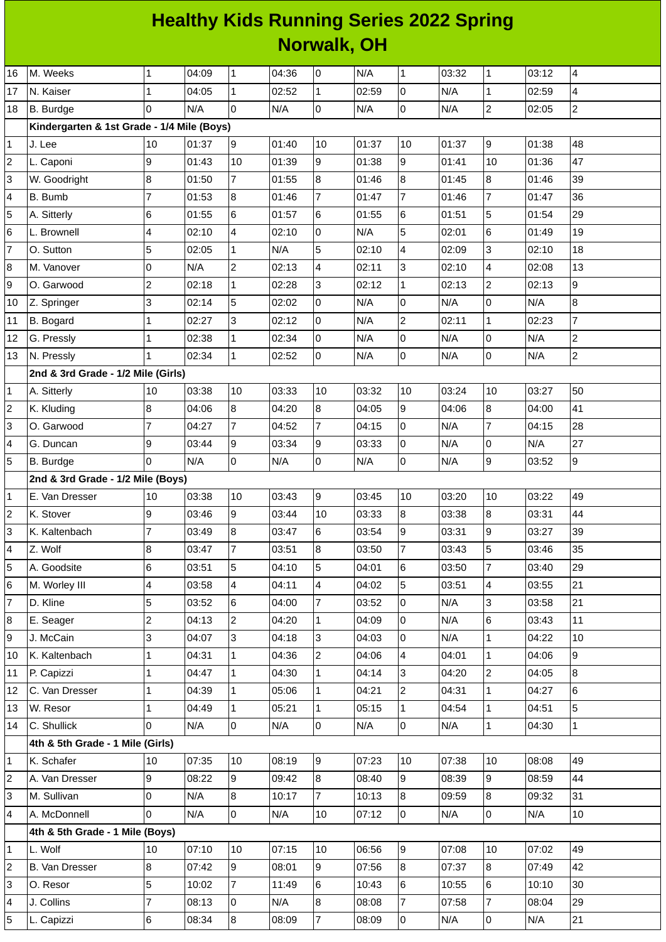## **Healthy Kids Running Series 2022 Spring Norwalk, OH**

| 16                      | M. Weeks                                   | 1              | 04:09 | $\mathbf{1}$        | 04:36 | l0             | N/A   | $\mathbf{1}$    | 03:32 | $\mathbf{1}$   | 03:12 | $\overline{4}$ |  |
|-------------------------|--------------------------------------------|----------------|-------|---------------------|-------|----------------|-------|-----------------|-------|----------------|-------|----------------|--|
| 17                      | N. Kaiser                                  | $\mathbf{1}$   | 04:05 | $\mathbf{1}$        | 02:52 | 1              | 02:59 | 0               | N/A   | $\mathbf 1$    | 02:59 | 4              |  |
| 18                      | B. Burdge                                  | 0              | N/A   | $\overline{0}$      | N/A   | $\pmb{0}$      | N/A   | 0               | N/A   | $\overline{a}$ | 02:05 | $\overline{c}$ |  |
|                         | Kindergarten & 1st Grade - 1/4 Mile (Boys) |                |       |                     |       |                |       |                 |       |                |       |                |  |
| 1                       | J. Lee                                     | 10             | 01:37 | 9                   | 01:40 | 10             | 01:37 | 10              | 01:37 | 9              | 01:38 | 48             |  |
| $\overline{c}$          | L. Caponi                                  | 9              | 01:43 | 10                  | 01:39 | 9              | 01:38 | 9               | 01:41 | 10             | 01:36 | 47             |  |
| 3                       | W. Goodright                               | 8              | 01:50 | 7                   | 01:55 | 8              | 01:46 | 8               | 01:45 | 8              | 01:46 | 39             |  |
| 4                       | B. Bumb                                    | $\overline{7}$ | 01:53 | $\overline{8}$      | 01:46 | $\overline{7}$ | 01:47 | $\overline{7}$  | 01:46 | $\overline{7}$ | 01:47 | 36             |  |
| 5                       | A. Sitterly                                | 6              | 01:55 | $6\phantom{.}6$     | 01:57 | 6              | 01:55 | 6               | 01:51 | 5              | 01:54 | 29             |  |
| 6                       | L. Brownell                                | 4              | 02:10 | 4                   | 02:10 | 0              | N/A   | 5               | 02:01 | 6              | 01:49 | 19             |  |
| $\overline{7}$          | O. Sutton                                  | 5              | 02:05 | $\mathbf{1}$        | N/A   | 5              | 02:10 | 4               | 02:09 | 3              | 02:10 | 18             |  |
| 8                       | M. Vanover                                 | 0              | N/A   | $\overline{c}$      | 02:13 | 4              | 02:11 | 3               | 02:10 | 4              | 02:08 | 13             |  |
| 9                       | O. Garwood                                 | $\overline{c}$ | 02:18 | $\mathbf{1}$        | 02:28 | 3              | 02:12 | $\mathbf{1}$    | 02:13 | $\overline{2}$ | 02:13 | 9              |  |
| 10                      | Z. Springer                                | 3              | 02:14 | 5                   | 02:02 | $\mathsf{O}$   | N/A   | $\mathbf 0$     | N/A   | 0              | N/A   | 8              |  |
| 11                      | B. Bogard                                  | $\mathbf 1$    | 02:27 | 3                   | 02:12 | 0              | N/A   | $\mathbf{2}$    | 02:11 | $\mathbf 1$    | 02:23 | 7              |  |
| 12                      | G. Pressly                                 | $\mathbf{1}$   | 02:38 | $\mathbf{1}$        | 02:34 | $\mathsf{O}$   | N/A   | 0               | N/A   | 0              | N/A   | $\overline{c}$ |  |
| 13                      | N. Pressly                                 | 1              | 02:34 | $\mathbf 1$         | 02:52 | $\mathsf{O}$   | N/A   | 0               | N/A   | 0              | N/A   | $\mathbf{2}$   |  |
|                         | 2nd & 3rd Grade - 1/2 Mile (Girls)         |                |       |                     |       |                |       |                 |       |                |       |                |  |
| 1                       | A. Sitterly                                | $10\,$         | 03:38 | 10                  | 03:33 | 10             | 03:32 | 10              | 03:24 | 10             | 03:27 | 50             |  |
| 2                       | K. Kluding                                 | 8              | 04:06 | $8\,$               | 04:20 | 8              | 04:05 | 9               | 04:06 | 8              | 04:00 | 41             |  |
| 3                       | O. Garwood                                 | $\overline{7}$ | 04:27 | $\overline{7}$      | 04:52 | 7              | 04:15 | 0               | N/A   | $\overline{7}$ | 04:15 | 28             |  |
| 4                       | G. Duncan                                  | 9              | 03:44 | 9                   | 03:34 | 9              | 03:33 | 0               | N/A   | 0              | N/A   | 27             |  |
| 5                       | B. Burdge                                  | 0              | N/A   | $\overline{0}$      | N/A   | 0              | N/A   | $\overline{0}$  | N/A   | 9              | 03:52 | $\overline{9}$ |  |
|                         | 2nd & 3rd Grade - 1/2 Mile (Boys)          |                |       |                     |       |                |       |                 |       |                |       |                |  |
| 1                       | E. Van Dresser                             | $10\,$         | 03:38 | 10                  | 03:43 | 9              | 03:45 | 10              | 03:20 | 10             | 03:22 | 49             |  |
| $\overline{\mathbf{c}}$ | K. Stover                                  | 9              | 03:46 | 9                   | 03:44 | 10             | 03:33 | 8               | 03:38 | 8              | 03:31 | 44             |  |
| 3                       | K. Kaltenbach                              | $\overline{7}$ | 03:49 | $\bf{8}$            | 03:47 | 6              | 03:54 | 9               | 03:31 | 9              | 03:27 | 39             |  |
| 4                       | Z. Wolf                                    | 8              | 03:47 | $\overline{7}$      | 03:51 | 8              | 03:50 | $\overline{7}$  | 03:43 | 5              | 03:46 | 35             |  |
| 5                       | A. Goodsite                                | 6              | 03:51 | 5                   | 04:10 | 5              | 04:01 | $6\phantom{.}6$ | 03:50 | $\overline{7}$ | 03:40 | 29             |  |
| 6                       | M. Worley III                              | 4              | 03:58 | 4                   | 04:11 | $\overline{4}$ | 04:02 | 5               | 03:51 | 4              | 03:55 | 21             |  |
| 7                       | D. Kline                                   | 5              | 03:52 | 6                   | 04:00 | $\overline{7}$ | 03:52 | 0               | N/A   | 3              | 03:58 | 21             |  |
| 8                       | E. Seager                                  | $\overline{c}$ | 04:13 | $\overline{c}$      | 04:20 | $\mathbf{1}$   | 04:09 | 0               | N/A   | 6              | 03:43 | 11             |  |
| 9                       | J. McCain                                  | 3              | 04:07 | 3                   | 04:18 | 3              | 04:03 | $\Omega$        | N/A   | $\mathbf{1}$   | 04:22 | 10             |  |
| 10                      | K. Kaltenbach                              | $\mathbf 1$    | 04:31 | $\mathbf{1}$        | 04:36 | 2              | 04:06 | 4               | 04:01 | 1              | 04:06 | 9              |  |
| 11                      | P. Capizzi                                 | $\mathbf{1}$   | 04:47 | $\mathbf{1}$        | 04:30 | $\mathbf{1}$   | 04:14 | 3               | 04:20 | $\overline{a}$ | 04:05 | 8              |  |
| 12                      | C. Van Dresser                             | $\mathbf 1$    | 04:39 | $\mathbf{1}$        | 05:06 | $\mathbf{1}$   | 04:21 | $\overline{c}$  | 04:31 | $\mathbf 1$    | 04:27 | 6              |  |
| 13                      | W. Resor                                   | $\mathbf{1}$   | 04:49 | $\mathbf{1}$        | 05:21 | $\mathbf{1}$   | 05:15 | $\mathbf{1}$    | 04:54 | $\mathbf{1}$   | 04:51 | 5              |  |
| 14                      | C. Shullick                                | 0              | N/A   | $\mathsf 0$         | N/A   | $\pmb{0}$      | N/A   | 0               | N/A   | $\mathbf 1$    | 04:30 | $\mathbf{1}$   |  |
|                         | 4th & 5th Grade - 1 Mile (Girls)           |                |       |                     |       |                |       |                 |       |                |       |                |  |
| 1                       | K. Schafer                                 | 10             | 07:35 | 10                  | 08:19 | 9              | 07:23 | 10              | 07:38 | 10             | 08:08 | 49             |  |
| 2                       | A. Van Dresser                             | 9              | 08:22 | 9                   | 09:42 | 8              | 08:40 | 9               | 08:39 | 9              | 08:59 | 44             |  |
| 3                       | M. Sullivan                                | 0              | N/A   | $\bf{8}$            | 10:17 | 7              | 10:13 | 8               | 09:59 | 8              | 09:32 | 31             |  |
| 4                       | A. McDonnell                               | 0              | N/A   | $\mathsf{O}\xspace$ | N/A   | 10             | 07:12 | 0               | N/A   | 0              | N/A   | 10             |  |
|                         | 4th & 5th Grade - 1 Mile (Boys)            |                |       |                     |       |                |       |                 |       |                |       |                |  |
| 1                       | L. Wolf                                    | 10             | 07:10 | 10                  | 07:15 | 10             | 06:56 | 9               | 07:08 | $10\,$         | 07:02 | 49             |  |
| $\overline{\mathbf{c}}$ | B. Van Dresser                             | 8              | 07:42 | 9                   | 08:01 | 9              | 07:56 | 8               | 07:37 | 8              | 07:49 | 42             |  |
| 3                       | O. Resor                                   | 5              | 10:02 | $\overline{7}$      | 11:49 | 6              | 10:43 | 6               | 10:55 | 6              | 10:10 | 30             |  |
| 4                       | J. Collins                                 | $\overline{7}$ | 08:13 | $\overline{0}$      | N/A   | 8              | 08:08 | $\overline{7}$  | 07:58 | $\overline{7}$ | 08:04 | 29             |  |
| 5                       | L. Capizzi                                 | 6              | 08:34 | 8                   | 08:09 | $\overline{7}$ | 08:09 | 0               | N/A   | 0              | N/A   | 21             |  |
|                         |                                            |                |       |                     |       |                |       |                 |       |                |       |                |  |